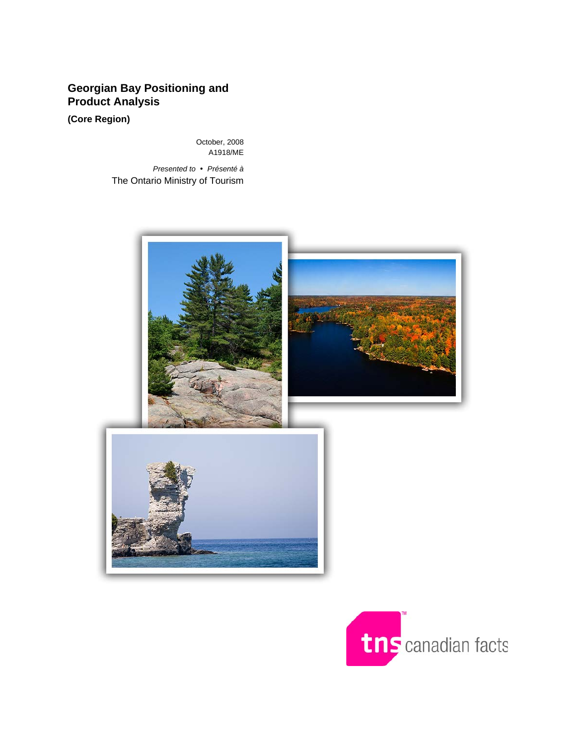### **Georgian Bay Positioning and Product Analysis**

**(Core Region)** 

October, 2008 A1918/ME

*Presented to* y *Présenté à*  The Ontario Ministry of Tourism



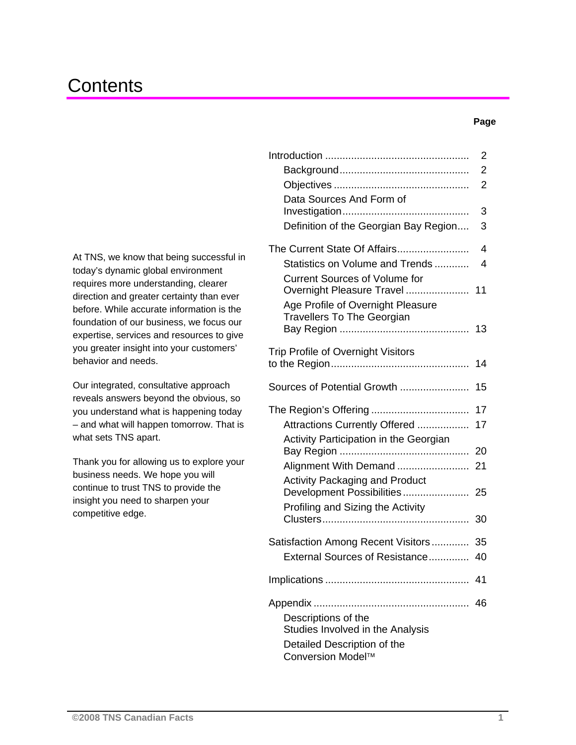## **Contents**

#### **Page**

At TNS, we know that being successful in today's dynamic global environment requires more understanding, clearer direction and greater certainty than ever before. While accurate information is the foundation of our business, we focus our expertise, services and resources to give you greater insight into your customers' behavior and needs.

Our integrated, consultative approach reveals answers beyond the obvious, so you understand what is happening today – and what will happen tomorrow. That is what sets TNS apart.

Thank you for allowing us to explore your business needs. We hope you will continue to trust TNS to provide the insight you need to sharpen your competitive edge.

| Data Sources And Form of                                                                                    | 2<br>2<br>2 |
|-------------------------------------------------------------------------------------------------------------|-------------|
| Definition of the Georgian Bay Region                                                                       | 3<br>3      |
| The Current State Of Affairs<br>Statistics on Volume and Trends<br><b>Current Sources of Volume for</b>     | 4<br>4      |
| Overnight Pleasure Travel<br>Age Profile of Overnight Pleasure<br><b>Travellers To The Georgian</b>         | 11          |
|                                                                                                             | 13          |
| Trip Profile of Overnight Visitors                                                                          | 14          |
| Sources of Potential Growth                                                                                 | 15          |
| Attractions Currently Offered                                                                               | 17<br>17    |
| Activity Participation in the Georgian                                                                      | 20          |
| Alignment With Demand                                                                                       | 21          |
| <b>Activity Packaging and Product</b><br>Development Possibilities<br>Profiling and Sizing the Activity     | 25          |
|                                                                                                             | 30          |
| Satisfaction Among Recent Visitors<br>External Sources of Resistance                                        | 35<br>40    |
|                                                                                                             | 41          |
| Descriptions of the<br>Studies Involved in the Analysis<br>Detailed Description of the<br>Conversion Model™ | 46          |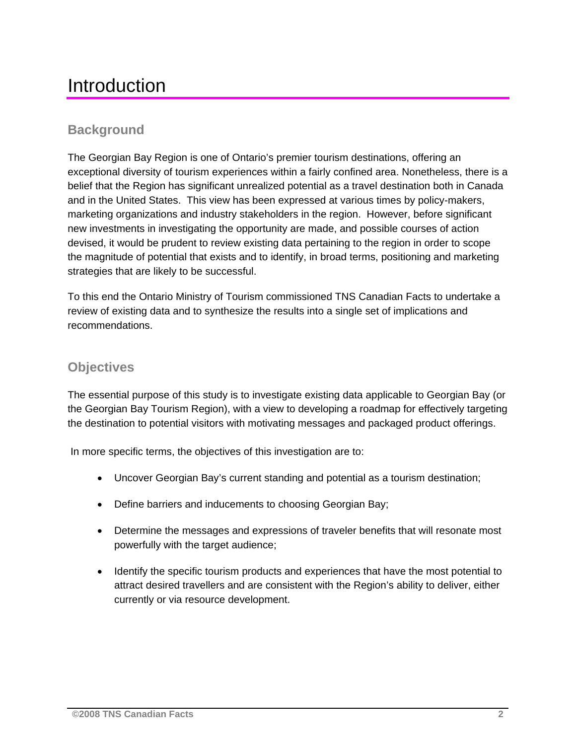## Introduction

### **Background**

The Georgian Bay Region is one of Ontario's premier tourism destinations, offering an exceptional diversity of tourism experiences within a fairly confined area. Nonetheless, there is a belief that the Region has significant unrealized potential as a travel destination both in Canada and in the United States. This view has been expressed at various times by policy-makers, marketing organizations and industry stakeholders in the region. However, before significant new investments in investigating the opportunity are made, and possible courses of action devised, it would be prudent to review existing data pertaining to the region in order to scope the magnitude of potential that exists and to identify, in broad terms, positioning and marketing strategies that are likely to be successful.

To this end the Ontario Ministry of Tourism commissioned TNS Canadian Facts to undertake a review of existing data and to synthesize the results into a single set of implications and recommendations.

### **Objectives**

The essential purpose of this study is to investigate existing data applicable to Georgian Bay (or the Georgian Bay Tourism Region), with a view to developing a roadmap for effectively targeting the destination to potential visitors with motivating messages and packaged product offerings.

In more specific terms, the objectives of this investigation are to:

- Uncover Georgian Bay's current standing and potential as a tourism destination;
- Define barriers and inducements to choosing Georgian Bay;
- Determine the messages and expressions of traveler benefits that will resonate most powerfully with the target audience;
- Identify the specific tourism products and experiences that have the most potential to attract desired travellers and are consistent with the Region's ability to deliver, either currently or via resource development.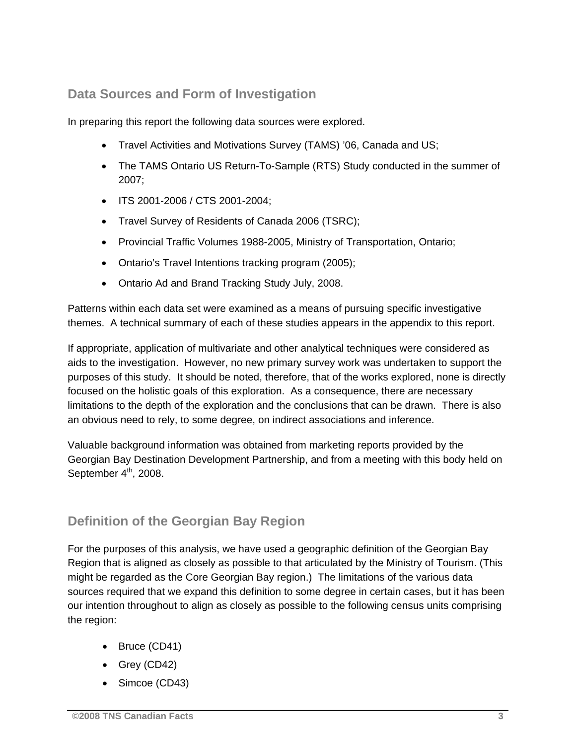### **Data Sources and Form of Investigation**

In preparing this report the following data sources were explored.

- Travel Activities and Motivations Survey (TAMS) '06, Canada and US;
- The TAMS Ontario US Return-To-Sample (RTS) Study conducted in the summer of 2007;
- ITS 2001-2006 / CTS 2001-2004;
- Travel Survey of Residents of Canada 2006 (TSRC);
- Provincial Traffic Volumes 1988-2005, Ministry of Transportation, Ontario;
- Ontario's Travel Intentions tracking program (2005);
- Ontario Ad and Brand Tracking Study July, 2008.

Patterns within each data set were examined as a means of pursuing specific investigative themes. A technical summary of each of these studies appears in the appendix to this report.

If appropriate, application of multivariate and other analytical techniques were considered as aids to the investigation. However, no new primary survey work was undertaken to support the purposes of this study. It should be noted, therefore, that of the works explored, none is directly focused on the holistic goals of this exploration. As a consequence, there are necessary limitations to the depth of the exploration and the conclusions that can be drawn. There is also an obvious need to rely, to some degree, on indirect associations and inference.

Valuable background information was obtained from marketing reports provided by the Georgian Bay Destination Development Partnership, and from a meeting with this body held on September  $4<sup>th</sup>$ , 2008.

### **Definition of the Georgian Bay Region**

For the purposes of this analysis, we have used a geographic definition of the Georgian Bay Region that is aligned as closely as possible to that articulated by the Ministry of Tourism. (This might be regarded as the Core Georgian Bay region.) The limitations of the various data sources required that we expand this definition to some degree in certain cases, but it has been our intention throughout to align as closely as possible to the following census units comprising the region:

- Bruce (CD41)
- Grey (CD42)
- Simcoe (CD43)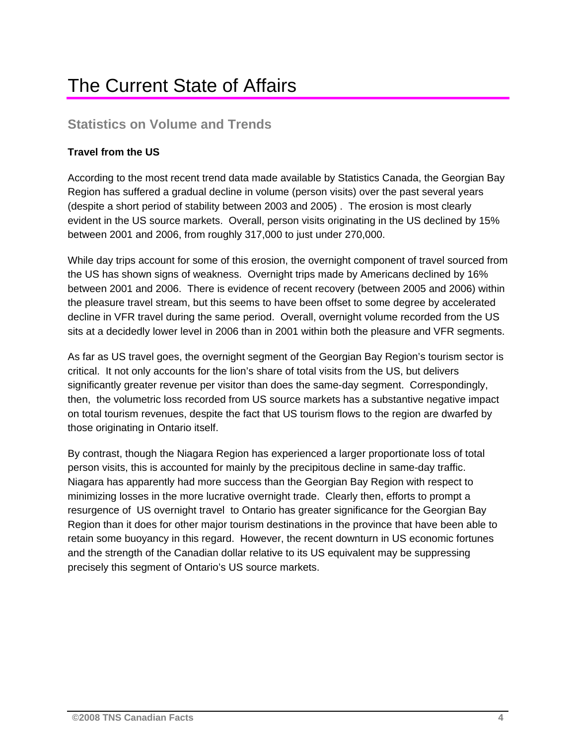## The Current State of Affairs

### **Statistics on Volume and Trends**

### **Travel from the US**

According to the most recent trend data made available by Statistics Canada, the Georgian Bay Region has suffered a gradual decline in volume (person visits) over the past several years (despite a short period of stability between 2003 and 2005) . The erosion is most clearly evident in the US source markets. Overall, person visits originating in the US declined by 15% between 2001 and 2006, from roughly 317,000 to just under 270,000.

While day trips account for some of this erosion, the overnight component of travel sourced from the US has shown signs of weakness. Overnight trips made by Americans declined by 16% between 2001 and 2006. There is evidence of recent recovery (between 2005 and 2006) within the pleasure travel stream, but this seems to have been offset to some degree by accelerated decline in VFR travel during the same period. Overall, overnight volume recorded from the US sits at a decidedly lower level in 2006 than in 2001 within both the pleasure and VFR segments.

As far as US travel goes, the overnight segment of the Georgian Bay Region's tourism sector is critical. It not only accounts for the lion's share of total visits from the US, but delivers significantly greater revenue per visitor than does the same-day segment. Correspondingly, then, the volumetric loss recorded from US source markets has a substantive negative impact on total tourism revenues, despite the fact that US tourism flows to the region are dwarfed by those originating in Ontario itself.

By contrast, though the Niagara Region has experienced a larger proportionate loss of total person visits, this is accounted for mainly by the precipitous decline in same-day traffic. Niagara has apparently had more success than the Georgian Bay Region with respect to minimizing losses in the more lucrative overnight trade. Clearly then, efforts to prompt a resurgence of US overnight travel to Ontario has greater significance for the Georgian Bay Region than it does for other major tourism destinations in the province that have been able to retain some buoyancy in this regard. However, the recent downturn in US economic fortunes and the strength of the Canadian dollar relative to its US equivalent may be suppressing precisely this segment of Ontario's US source markets.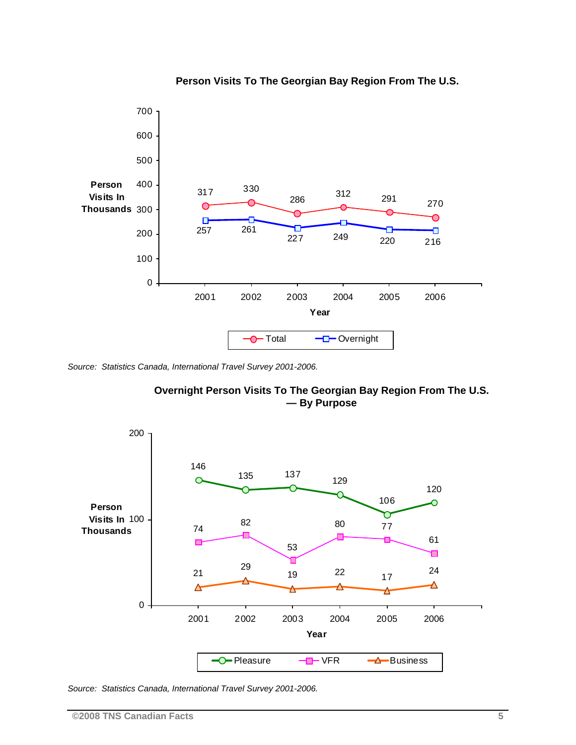

### **Person Visits To The Georgian Bay Region From The U.S.**

*Source: Statistics Canada, International Travel Survey 2001-2006.* 





*Source: Statistics Canada, International Travel Survey 2001-2006.*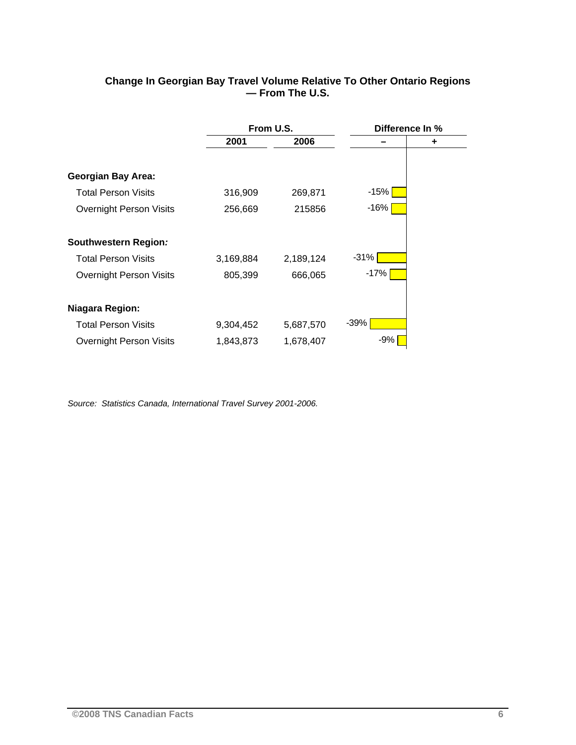| Change In Georgian Bay Travel Volume Relative To Other Ontario Regions |                 |  |
|------------------------------------------------------------------------|-----------------|--|
|                                                                        | — From The U.S. |  |

|                                | From U.S. |           | Difference In % |   |
|--------------------------------|-----------|-----------|-----------------|---|
|                                | 2001      | 2006      |                 | ٠ |
|                                |           |           |                 |   |
| <b>Georgian Bay Area:</b>      |           |           |                 |   |
| <b>Total Person Visits</b>     | 316,909   | 269,871   | -15%            |   |
| <b>Overnight Person Visits</b> | 256,669   | 215856    | $-16%$          |   |
| Southwestern Region:           |           |           |                 |   |
| <b>Total Person Visits</b>     | 3,169,884 | 2,189,124 | $-31%$          |   |
| <b>Overnight Person Visits</b> | 805,399   | 666,065   | -17%            |   |
| <b>Niagara Region:</b>         |           |           |                 |   |
| <b>Total Person Visits</b>     | 9,304,452 | 5,687,570 | -39%            |   |
| <b>Overnight Person Visits</b> | 1,843,873 | 1,678,407 | $-9%$           |   |

*Source: Statistics Canada, International Travel Survey 2001-2006.*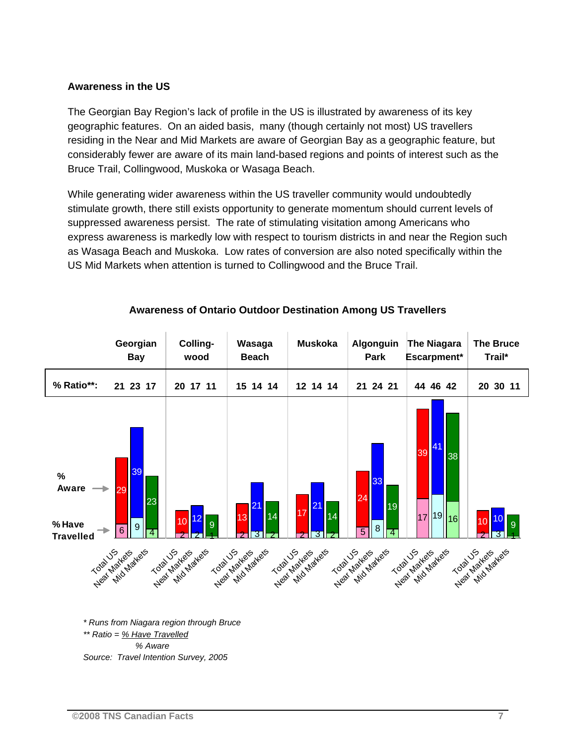#### **Awareness in the US**

The Georgian Bay Region's lack of profile in the US is illustrated by awareness of its key geographic features. On an aided basis, many (though certainly not most) US travellers residing in the Near and Mid Markets are aware of Georgian Bay as a geographic feature, but considerably fewer are aware of its main land-based regions and points of interest such as the Bruce Trail, Collingwood, Muskoka or Wasaga Beach.

While generating wider awareness within the US traveller community would undoubtedly stimulate growth, there still exists opportunity to generate momentum should current levels of suppressed awareness persist. The rate of stimulating visitation among Americans who express awareness is markedly low with respect to tourism districts in and near the Region such as Wasaga Beach and Muskoka. Low rates of conversion are also noted specifically within the US Mid Markets when attention is turned to Collingwood and the Bruce Trail.



### **Awareness of Ontario Outdoor Destination Among US Travellers**

*\*\* Ratio = % Have Travelled % Aware Source: Travel Intention Survey, 2005*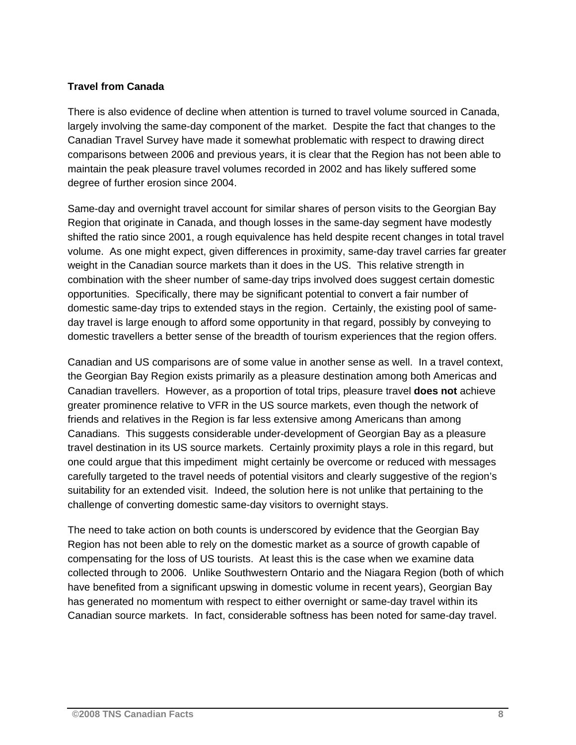### **Travel from Canada**

There is also evidence of decline when attention is turned to travel volume sourced in Canada, largely involving the same-day component of the market. Despite the fact that changes to the Canadian Travel Survey have made it somewhat problematic with respect to drawing direct comparisons between 2006 and previous years, it is clear that the Region has not been able to maintain the peak pleasure travel volumes recorded in 2002 and has likely suffered some degree of further erosion since 2004.

Same-day and overnight travel account for similar shares of person visits to the Georgian Bay Region that originate in Canada, and though losses in the same-day segment have modestly shifted the ratio since 2001, a rough equivalence has held despite recent changes in total travel volume. As one might expect, given differences in proximity, same-day travel carries far greater weight in the Canadian source markets than it does in the US. This relative strength in combination with the sheer number of same-day trips involved does suggest certain domestic opportunities. Specifically, there may be significant potential to convert a fair number of domestic same-day trips to extended stays in the region. Certainly, the existing pool of sameday travel is large enough to afford some opportunity in that regard, possibly by conveying to domestic travellers a better sense of the breadth of tourism experiences that the region offers.

Canadian and US comparisons are of some value in another sense as well. In a travel context, the Georgian Bay Region exists primarily as a pleasure destination among both Americas and Canadian travellers. However, as a proportion of total trips, pleasure travel **does not** achieve greater prominence relative to VFR in the US source markets, even though the network of friends and relatives in the Region is far less extensive among Americans than among Canadians. This suggests considerable under-development of Georgian Bay as a pleasure travel destination in its US source markets. Certainly proximity plays a role in this regard, but one could argue that this impediment might certainly be overcome or reduced with messages carefully targeted to the travel needs of potential visitors and clearly suggestive of the region's suitability for an extended visit. Indeed, the solution here is not unlike that pertaining to the challenge of converting domestic same-day visitors to overnight stays.

The need to take action on both counts is underscored by evidence that the Georgian Bay Region has not been able to rely on the domestic market as a source of growth capable of compensating for the loss of US tourists. At least this is the case when we examine data collected through to 2006. Unlike Southwestern Ontario and the Niagara Region (both of which have benefited from a significant upswing in domestic volume in recent years), Georgian Bay has generated no momentum with respect to either overnight or same-day travel within its Canadian source markets. In fact, considerable softness has been noted for same-day travel.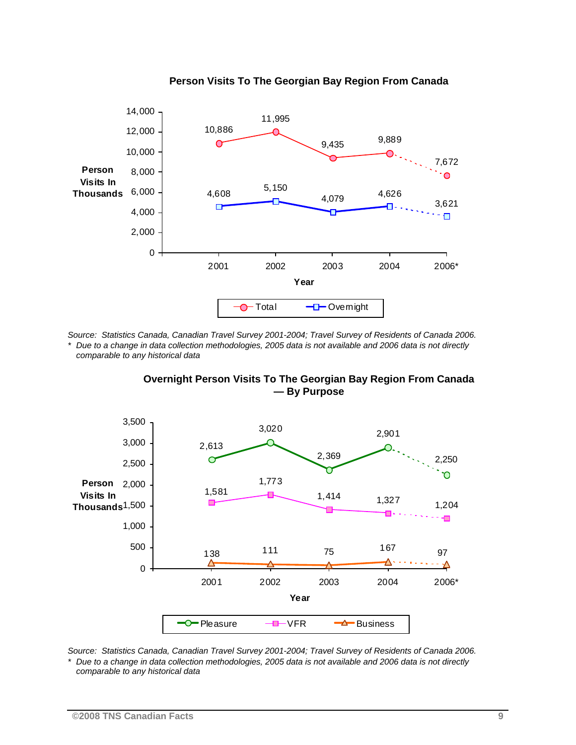

#### **Person Visits To The Georgian Bay Region From Canada**

*Source: Statistics Canada, Canadian Travel Survey 2001-2004; Travel Survey of Residents of Canada 2006.* 

*\* Due to a change in data collection methodologies, 2005 data is not available and 2006 data is not directly comparable to any historical data* 

**Overnight Person Visits To The Georgian Bay Region From Canada — By Purpose** 



*Source: Statistics Canada, Canadian Travel Survey 2001-2004; Travel Survey of Residents of Canada 2006. \* Due to a change in data collection methodologies, 2005 data is not available and 2006 data is not directly comparable to any historical data*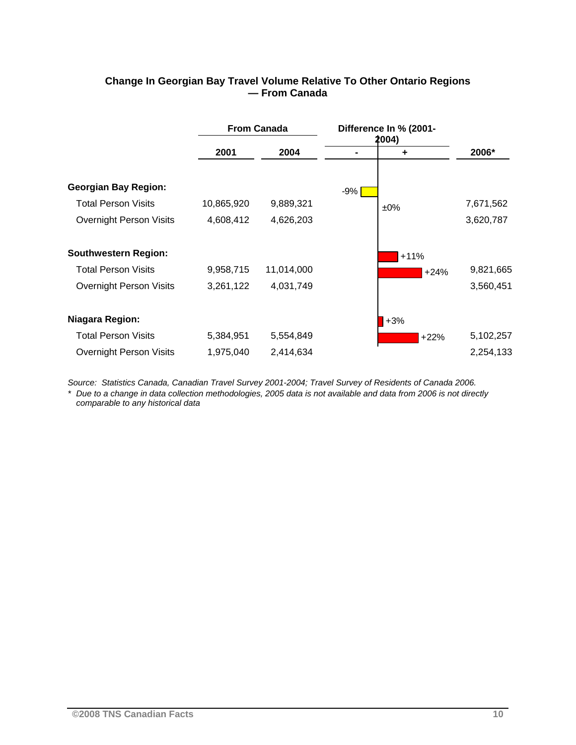|                                |            | <b>From Canada</b> |     | Difference In % (2001-<br>2004) |           |
|--------------------------------|------------|--------------------|-----|---------------------------------|-----------|
|                                | 2001       | 2004               |     | ÷                               | 2006*     |
| <b>Georgian Bay Region:</b>    |            |                    | -9% |                                 |           |
| <b>Total Person Visits</b>     | 10,865,920 | 9,889,321          |     | $±0\%$                          | 7,671,562 |
| <b>Overnight Person Visits</b> | 4,608,412  | 4,626,203          |     |                                 | 3,620,787 |
| <b>Southwestern Region:</b>    |            |                    |     | $+11%$                          |           |
| <b>Total Person Visits</b>     | 9,958,715  | 11,014,000         |     | $+24%$                          | 9,821,665 |
| <b>Overnight Person Visits</b> | 3,261,122  | 4,031,749          |     |                                 | 3,560,451 |
| Niagara Region:                |            |                    |     | $+3%$                           |           |
| <b>Total Person Visits</b>     | 5,384,951  | 5,554,849          |     | $+22%$                          | 5,102,257 |
| <b>Overnight Person Visits</b> | 1,975,040  | 2,414,634          |     |                                 | 2,254,133 |

### **Change In Georgian Bay Travel Volume Relative To Other Ontario Regions — From Canada**

*Source: Statistics Canada, Canadian Travel Survey 2001-2004; Travel Survey of Residents of Canada 2006.* 

*\* Due to a change in data collection methodologies, 2005 data is not available and data from 2006 is not directly comparable to any historical data*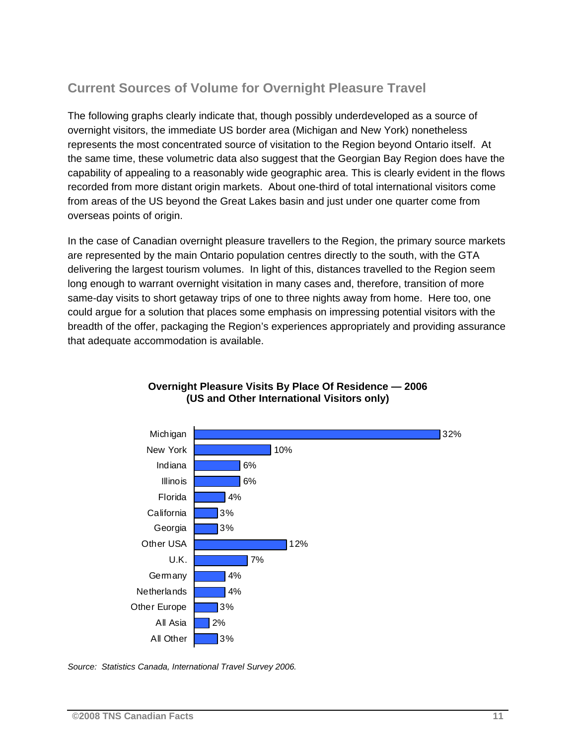### **Current Sources of Volume for Overnight Pleasure Travel**

The following graphs clearly indicate that, though possibly underdeveloped as a source of overnight visitors, the immediate US border area (Michigan and New York) nonetheless represents the most concentrated source of visitation to the Region beyond Ontario itself. At the same time, these volumetric data also suggest that the Georgian Bay Region does have the capability of appealing to a reasonably wide geographic area. This is clearly evident in the flows recorded from more distant origin markets. About one-third of total international visitors come from areas of the US beyond the Great Lakes basin and just under one quarter come from overseas points of origin.

In the case of Canadian overnight pleasure travellers to the Region, the primary source markets are represented by the main Ontario population centres directly to the south, with the GTA delivering the largest tourism volumes. In light of this, distances travelled to the Region seem long enough to warrant overnight visitation in many cases and, therefore, transition of more same-day visits to short getaway trips of one to three nights away from home. Here too, one could argue for a solution that places some emphasis on impressing potential visitors with the breadth of the offer, packaging the Region's experiences appropriately and providing assurance that adequate accommodation is available.



### **Overnight Pleasure Visits By Place Of Residence — 2006 (US and Other International Visitors only)**

*Source: Statistics Canada, International Travel Survey 2006.*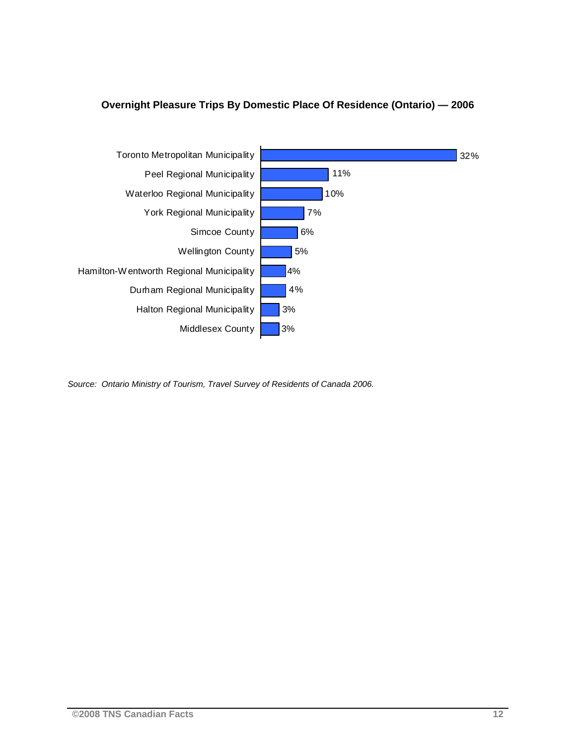



*Source: Ontario Ministry of Tourism, Travel Survey of Residents of Canada 2006.*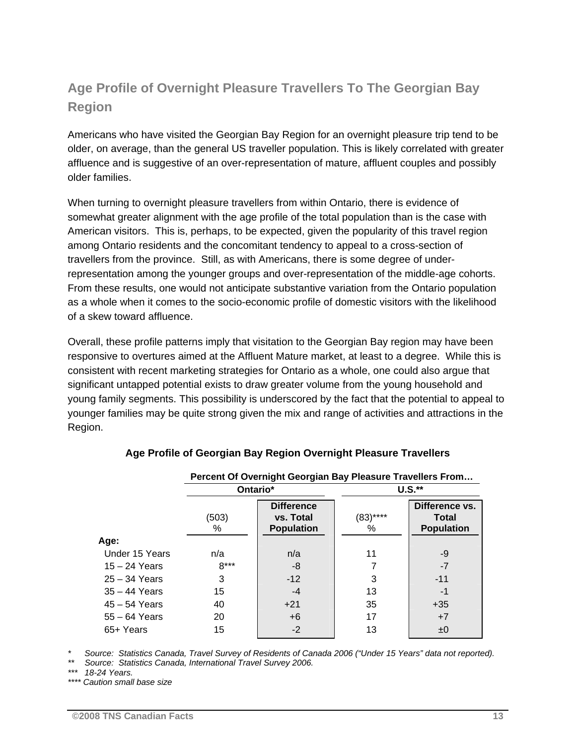### **Age Profile of Overnight Pleasure Travellers To The Georgian Bay Region**

Americans who have visited the Georgian Bay Region for an overnight pleasure trip tend to be older, on average, than the general US traveller population. This is likely correlated with greater affluence and is suggestive of an over-representation of mature, affluent couples and possibly older families.

When turning to overnight pleasure travellers from within Ontario, there is evidence of somewhat greater alignment with the age profile of the total population than is the case with American visitors. This is, perhaps, to be expected, given the popularity of this travel region among Ontario residents and the concomitant tendency to appeal to a cross-section of travellers from the province. Still, as with Americans, there is some degree of underrepresentation among the younger groups and over-representation of the middle-age cohorts. From these results, one would not anticipate substantive variation from the Ontario population as a whole when it comes to the socio-economic profile of domestic visitors with the likelihood of a skew toward affluence.

Overall, these profile patterns imply that visitation to the Georgian Bay region may have been responsive to overtures aimed at the Affluent Mature market, at least to a degree. While this is consistent with recent marketing strategies for Ontario as a whole, one could also argue that significant untapped potential exists to draw greater volume from the young household and young family segments. This possibility is underscored by the fact that the potential to appeal to younger families may be quite strong given the mix and range of activities and attractions in the Region.

|                 |            | Percent Of Overnight Georgian Bay Pleasure Travellers From |                  |                                                     |
|-----------------|------------|------------------------------------------------------------|------------------|-----------------------------------------------------|
|                 |            | Ontario*                                                   |                  | $U.S.*$                                             |
|                 | (503)<br>% | <b>Difference</b><br>vs. Total<br><b>Population</b>        | $(83)$ ****<br>% | Difference vs.<br><b>Total</b><br><b>Population</b> |
| Age:            |            |                                                            |                  |                                                     |
| Under 15 Years  | n/a        | n/a                                                        | 11               | -9                                                  |
| $15 - 24$ Years | $8***$     | -8                                                         |                  | $-7$                                                |
| $25 - 34$ Years | 3          | $-12$                                                      | 3                | $-11$                                               |
| $35 - 44$ Years | 15         | $-4$                                                       | 13               | -1                                                  |
| $45 - 54$ Years | 40         | $+21$                                                      | 35               | $+35$                                               |
| $55 - 64$ Years | 20         | $+6$                                                       | 17               | $+7$                                                |
| 65+ Years       | 15         | $-2$                                                       | 13               | ±0                                                  |

### **Age Profile of Georgian Bay Region Overnight Pleasure Travellers**

*\* Source: Statistics Canada, Travel Survey of Residents of Canada 2006 ("Under 15 Years" data not reported).* 

*\*\* Source: Statistics Canada, International Travel Survey 2006.* 

*\*\*\* 18-24 Years.* 

*\*\*\*\* Caution small base size*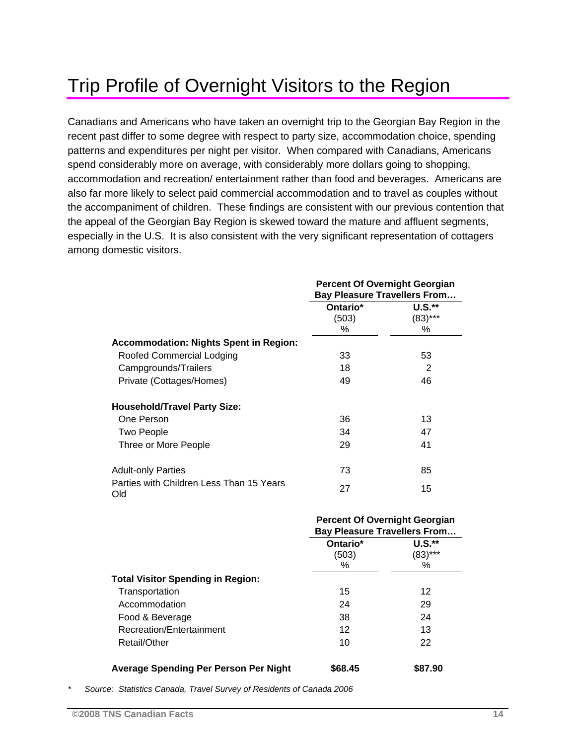## Trip Profile of Overnight Visitors to the Region

Canadians and Americans who have taken an overnight trip to the Georgian Bay Region in the recent past differ to some degree with respect to party size, accommodation choice, spending patterns and expenditures per night per visitor. When compared with Canadians, Americans spend considerably more on average, with considerably more dollars going to shopping, accommodation and recreation/ entertainment rather than food and beverages. Americans are also far more likely to select paid commercial accommodation and to travel as couples without the accompaniment of children. These findings are consistent with our previous contention that the appeal of the Georgian Bay Region is skewed toward the mature and affluent segments, especially in the U.S. It is also consistent with the very significant representation of cottagers among domestic visitors.

|                                                 | <b>Percent Of Overnight Georgian</b><br><b>Bay Pleasure Travellers From</b> |                            |
|-------------------------------------------------|-----------------------------------------------------------------------------|----------------------------|
|                                                 | Ontario*<br>(503)                                                           | <b>U.S.**</b><br>$(83)***$ |
|                                                 | %                                                                           | ℅                          |
| <b>Accommodation: Nights Spent in Region:</b>   |                                                                             |                            |
| Roofed Commercial Lodging                       | 33                                                                          | 53                         |
| Campgrounds/Trailers                            | 18                                                                          | 2                          |
| Private (Cottages/Homes)                        | 49                                                                          | 46                         |
| <b>Household/Travel Party Size:</b>             |                                                                             |                            |
| One Person                                      | 36                                                                          | 13                         |
| <b>Two People</b>                               | 34                                                                          | 47                         |
| Three or More People                            | 29                                                                          | 41                         |
| <b>Adult-only Parties</b>                       | 73                                                                          | 85                         |
| Parties with Children Less Than 15 Years<br>Old | 27                                                                          | 15                         |

|                                          | <b>Percent Of Overnight Georgian</b><br><b>Bay Pleasure Travellers From</b> |                         |
|------------------------------------------|-----------------------------------------------------------------------------|-------------------------|
|                                          | Ontario*<br>(503)<br>℅                                                      | $U.S.*$<br>(83)***<br>℅ |
| <b>Total Visitor Spending in Region:</b> |                                                                             |                         |
| Transportation                           | 15                                                                          | 12                      |
| Accommodation                            | 24                                                                          | 29                      |
| Food & Beverage                          | 38                                                                          | 24                      |
| Recreation/Entertainment                 | 12                                                                          | 13                      |
| Retail/Other                             | 10                                                                          | 22                      |
| Average Spending Per Person Per Night    | \$68.45                                                                     | \$87.90                 |

*\* Source: Statistics Canada, Travel Survey of Residents of Canada 2006*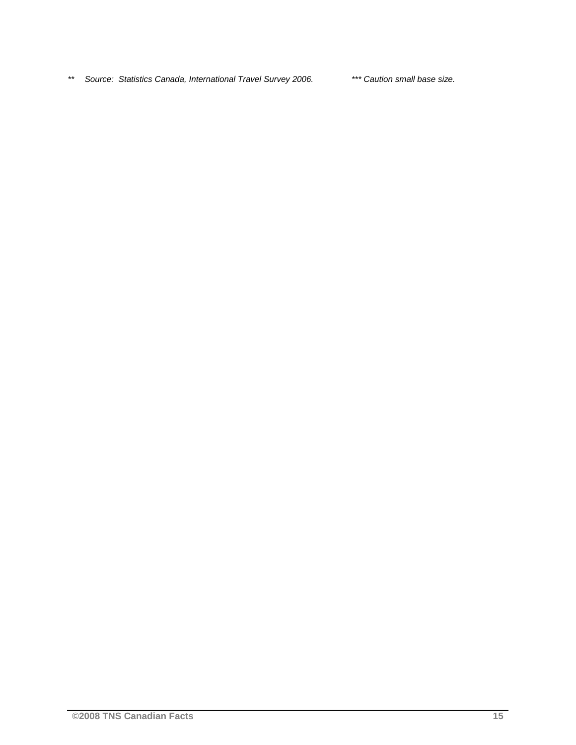*\*\* Source: Statistics Canada, International Travel Survey 2006. \*\*\* Caution small base size.*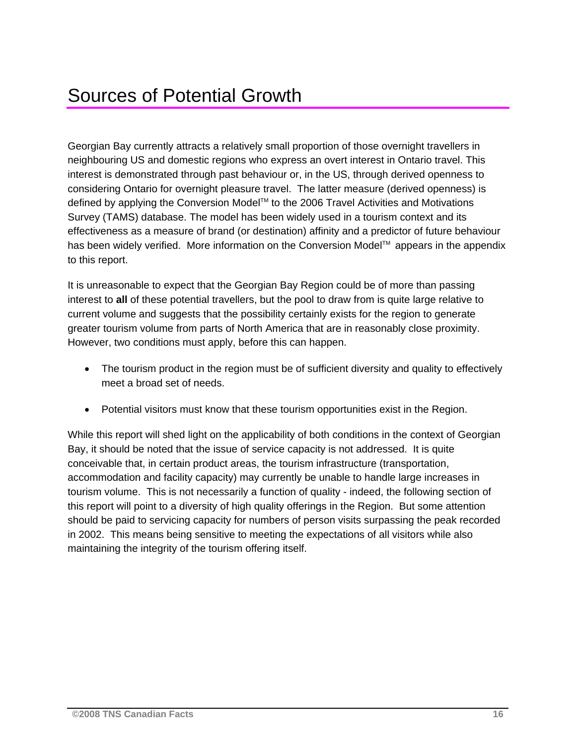## Sources of Potential Growth

Georgian Bay currently attracts a relatively small proportion of those overnight travellers in neighbouring US and domestic regions who express an overt interest in Ontario travel. This interest is demonstrated through past behaviour or, in the US, through derived openness to considering Ontario for overnight pleasure travel. The latter measure (derived openness) is defined by applying the Conversion Model™ to the 2006 Travel Activities and Motivations Survey (TAMS) database. The model has been widely used in a tourism context and its effectiveness as a measure of brand (or destination) affinity and a predictor of future behaviour has been widely verified. More information on the Conversion Model™ appears in the appendix to this report.

It is unreasonable to expect that the Georgian Bay Region could be of more than passing interest to **all** of these potential travellers, but the pool to draw from is quite large relative to current volume and suggests that the possibility certainly exists for the region to generate greater tourism volume from parts of North America that are in reasonably close proximity. However, two conditions must apply, before this can happen.

- The tourism product in the region must be of sufficient diversity and quality to effectively meet a broad set of needs.
- Potential visitors must know that these tourism opportunities exist in the Region.

While this report will shed light on the applicability of both conditions in the context of Georgian Bay, it should be noted that the issue of service capacity is not addressed. It is quite conceivable that, in certain product areas, the tourism infrastructure (transportation, accommodation and facility capacity) may currently be unable to handle large increases in tourism volume. This is not necessarily a function of quality - indeed, the following section of this report will point to a diversity of high quality offerings in the Region. But some attention should be paid to servicing capacity for numbers of person visits surpassing the peak recorded in 2002. This means being sensitive to meeting the expectations of all visitors while also maintaining the integrity of the tourism offering itself.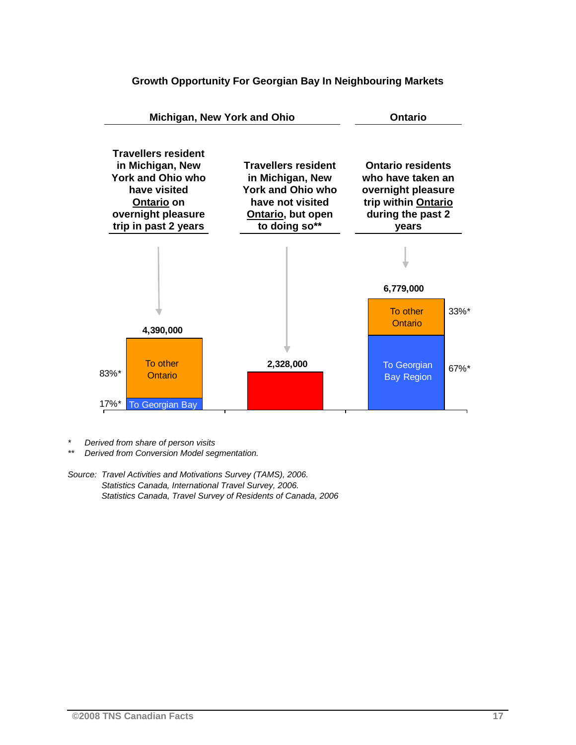

#### **Growth Opportunity For Georgian Bay In Neighbouring Markets**

*\* Derived from share of person visits* 

*\*\* Derived from Conversion Model segmentation.* 

*Source: Travel Activities and Motivations Survey (TAMS), 2006. Statistics Canada, International Travel Survey, 2006. Statistics Canada, Travel Survey of Residents of Canada, 2006*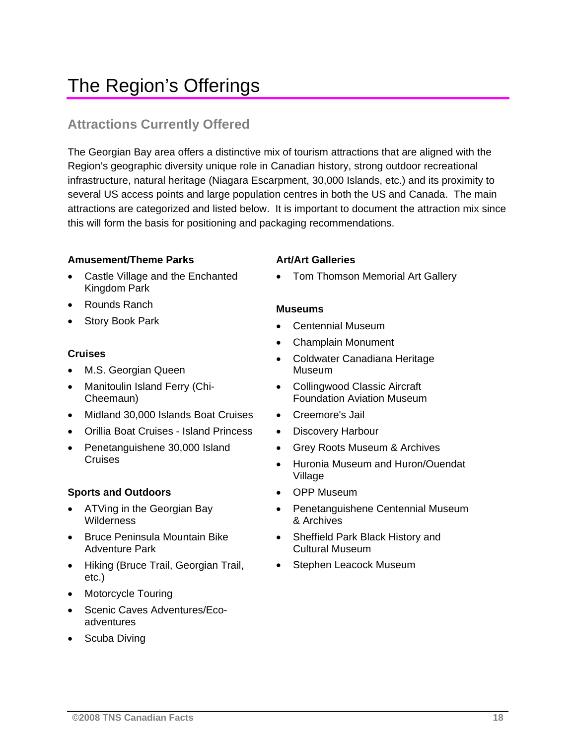## The Region's Offerings

### **Attractions Currently Offered**

The Georgian Bay area offers a distinctive mix of tourism attractions that are aligned with the Region's geographic diversity unique role in Canadian history, strong outdoor recreational infrastructure, natural heritage (Niagara Escarpment, 30,000 Islands, etc.) and its proximity to several US access points and large population centres in both the US and Canada. The main attractions are categorized and listed below. It is important to document the attraction mix since this will form the basis for positioning and packaging recommendations.

### **Amusement/Theme Parks**

- Castle Village and the Enchanted Kingdom Park
- Rounds Ranch
- Story Book Park

### **Cruises**

- M.S. Georgian Queen
- Manitoulin Island Ferry (Chi-Cheemaun)
- Midland 30,000 Islands Boat Cruises
- Orillia Boat Cruises Island Princess
- Penetanguishene 30,000 Island **Cruises**

### **Sports and Outdoors**

- ATVing in the Georgian Bay **Wilderness**
- Bruce Peninsula Mountain Bike Adventure Park
- Hiking (Bruce Trail, Georgian Trail, etc.)
- Motorcycle Touring
- Scenic Caves Adventures/Ecoadventures
- Scuba Diving

### **Art/Art Galleries**

• Tom Thomson Memorial Art Gallery

### **Museums**

- Centennial Museum
- Champlain Monument
- Coldwater Canadiana Heritage Museum
- Collingwood Classic Aircraft Foundation Aviation Museum
- Creemore's Jail
- Discovery Harbour
- Grey Roots Museum & Archives
- Huronia Museum and Huron/Ouendat Village
- OPP Museum
- Penetanguishene Centennial Museum & Archives
- Sheffield Park Black History and Cultural Museum
- Stephen Leacock Museum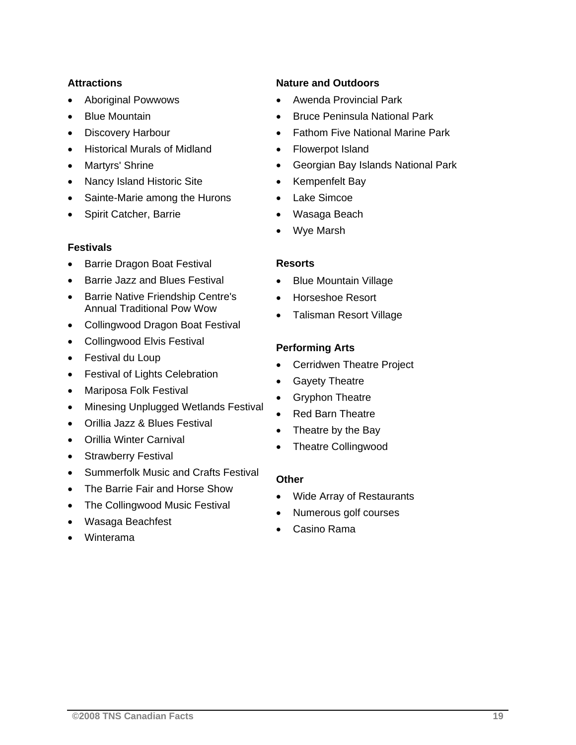### **Attractions**

- Aboriginal Powwows
- Blue Mountain
- Discovery Harbour
- Historical Murals of Midland
- Martyrs' Shrine
- Nancy Island Historic Site
- Sainte-Marie among the Hurons
- Spirit Catcher, Barrie

### **Festivals**

- Barrie Dragon Boat Festival
- Barrie Jazz and Blues Festival
- Barrie Native Friendship Centre's Annual Traditional Pow Wow
- Collingwood Dragon Boat Festival
- Collingwood Elvis Festival
- Festival du Loup
- Festival of Lights Celebration
- Mariposa Folk Festival
- Minesing Unplugged Wetlands Festival
- Orillia Jazz & Blues Festival
- Orillia Winter Carnival
- Strawberry Festival
- Summerfolk Music and Crafts Festival
- The Barrie Fair and Horse Show
- The Collingwood Music Festival
- Wasaga Beachfest
- Winterama

### **Nature and Outdoors**

- Awenda Provincial Park
- Bruce Peninsula National Park
- Fathom Five National Marine Park
- Flowerpot Island
- Georgian Bay Islands National Park
- Kempenfelt Bay
- Lake Simcoe
- Wasaga Beach
- Wye Marsh

### **Resorts**

- Blue Mountain Village
- Horseshoe Resort
- Talisman Resort Village

### **Performing Arts**

- Cerridwen Theatre Project
- Gayety Theatre
- Gryphon Theatre
- Red Barn Theatre
- Theatre by the Bay
- Theatre Collingwood

### **Other**

- Wide Array of Restaurants
- Numerous golf courses
- Casino Rama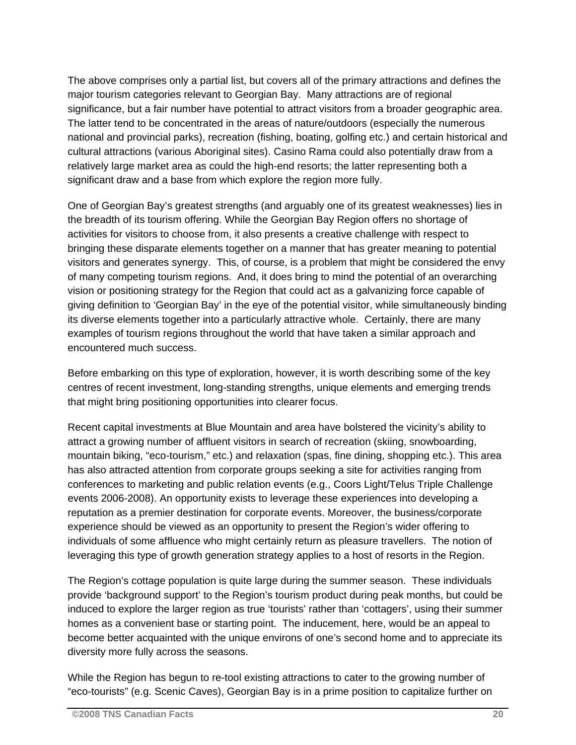The above comprises only a partial list, but covers all of the primary attractions and defines the major tourism categories relevant to Georgian Bay. Many attractions are of regional significance, but a fair number have potential to attract visitors from a broader geographic area. The latter tend to be concentrated in the areas of nature/outdoors (especially the numerous national and provincial parks), recreation (fishing, boating, golfing etc.) and certain historical and cultural attractions (various Aboriginal sites). Casino Rama could also potentially draw from a relatively large market area as could the high-end resorts; the latter representing both a significant draw and a base from which explore the region more fully.

One of Georgian Bay's greatest strengths (and arguably one of its greatest weaknesses) lies in the breadth of its tourism offering. While the Georgian Bay Region offers no shortage of activities for visitors to choose from, it also presents a creative challenge with respect to bringing these disparate elements together on a manner that has greater meaning to potential visitors and generates synergy. This, of course, is a problem that might be considered the envy of many competing tourism regions. And, it does bring to mind the potential of an overarching vision or positioning strategy for the Region that could act as a galvanizing force capable of giving definition to 'Georgian Bay' in the eye of the potential visitor, while simultaneously binding its diverse elements together into a particularly attractive whole. Certainly, there are many examples of tourism regions throughout the world that have taken a similar approach and encountered much success.

Before embarking on this type of exploration, however, it is worth describing some of the key centres of recent investment, long-standing strengths, unique elements and emerging trends that might bring positioning opportunities into clearer focus.

Recent capital investments at Blue Mountain and area have bolstered the vicinity's ability to attract a growing number of affluent visitors in search of recreation (skiing, snowboarding, mountain biking, "eco-tourism," etc.) and relaxation (spas, fine dining, shopping etc.). This area has also attracted attention from corporate groups seeking a site for activities ranging from conferences to marketing and public relation events (e.g., Coors Light/Telus Triple Challenge events 2006-2008). An opportunity exists to leverage these experiences into developing a reputation as a premier destination for corporate events. Moreover, the business/corporate experience should be viewed as an opportunity to present the Region's wider offering to individuals of some affluence who might certainly return as pleasure travellers. The notion of leveraging this type of growth generation strategy applies to a host of resorts in the Region.

The Region's cottage population is quite large during the summer season. These individuals provide 'background support' to the Region's tourism product during peak months, but could be induced to explore the larger region as true 'tourists' rather than 'cottagers', using their summer homes as a convenient base or starting point. The inducement, here, would be an appeal to become better acquainted with the unique environs of one's second home and to appreciate its diversity more fully across the seasons.

While the Region has begun to re-tool existing attractions to cater to the growing number of "eco-tourists" (e.g. Scenic Caves), Georgian Bay is in a prime position to capitalize further on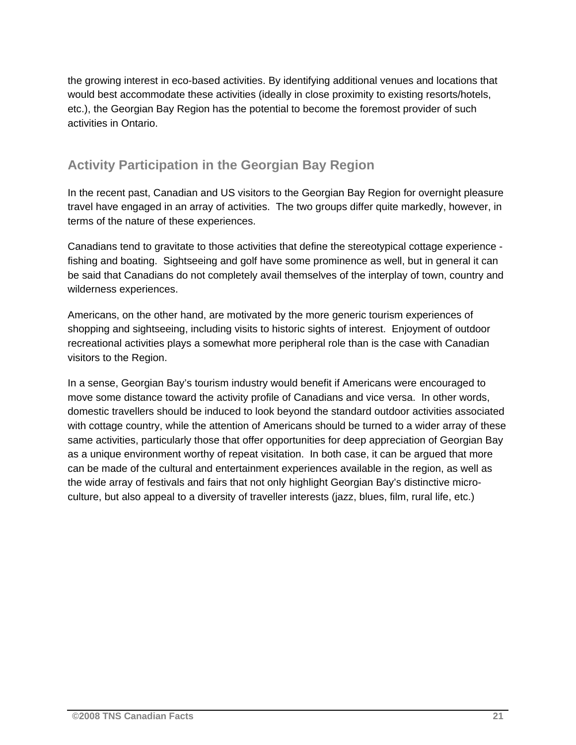the growing interest in eco-based activities. By identifying additional venues and locations that would best accommodate these activities (ideally in close proximity to existing resorts/hotels, etc.), the Georgian Bay Region has the potential to become the foremost provider of such activities in Ontario.

### **Activity Participation in the Georgian Bay Region**

In the recent past, Canadian and US visitors to the Georgian Bay Region for overnight pleasure travel have engaged in an array of activities. The two groups differ quite markedly, however, in terms of the nature of these experiences.

Canadians tend to gravitate to those activities that define the stereotypical cottage experience fishing and boating. Sightseeing and golf have some prominence as well, but in general it can be said that Canadians do not completely avail themselves of the interplay of town, country and wilderness experiences.

Americans, on the other hand, are motivated by the more generic tourism experiences of shopping and sightseeing, including visits to historic sights of interest. Enjoyment of outdoor recreational activities plays a somewhat more peripheral role than is the case with Canadian visitors to the Region.

In a sense, Georgian Bay's tourism industry would benefit if Americans were encouraged to move some distance toward the activity profile of Canadians and vice versa. In other words, domestic travellers should be induced to look beyond the standard outdoor activities associated with cottage country, while the attention of Americans should be turned to a wider array of these same activities, particularly those that offer opportunities for deep appreciation of Georgian Bay as a unique environment worthy of repeat visitation. In both case, it can be argued that more can be made of the cultural and entertainment experiences available in the region, as well as the wide array of festivals and fairs that not only highlight Georgian Bay's distinctive microculture, but also appeal to a diversity of traveller interests (jazz, blues, film, rural life, etc.)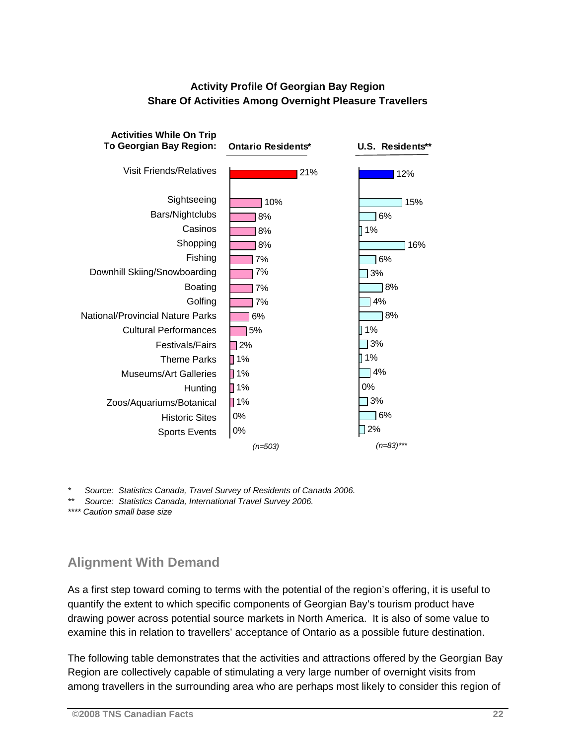### **Activity Profile Of Georgian Bay Region Share Of Activities Among Overnight Pleasure Travellers**



*\* Source: Statistics Canada, Travel Survey of Residents of Canada 2006.* 

*\*\* Source: Statistics Canada, International Travel Survey 2006.* 

*\*\*\*\* Caution small base size* 

### **Alignment With Demand**

As a first step toward coming to terms with the potential of the region's offering, it is useful to quantify the extent to which specific components of Georgian Bay's tourism product have drawing power across potential source markets in North America. It is also of some value to examine this in relation to travellers' acceptance of Ontario as a possible future destination.

The following table demonstrates that the activities and attractions offered by the Georgian Bay Region are collectively capable of stimulating a very large number of overnight visits from among travellers in the surrounding area who are perhaps most likely to consider this region of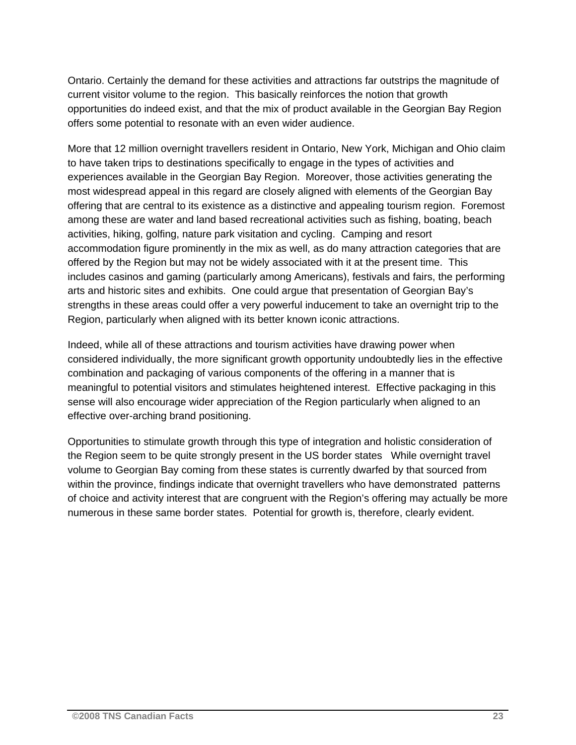Ontario. Certainly the demand for these activities and attractions far outstrips the magnitude of current visitor volume to the region. This basically reinforces the notion that growth opportunities do indeed exist, and that the mix of product available in the Georgian Bay Region offers some potential to resonate with an even wider audience.

More that 12 million overnight travellers resident in Ontario, New York, Michigan and Ohio claim to have taken trips to destinations specifically to engage in the types of activities and experiences available in the Georgian Bay Region. Moreover, those activities generating the most widespread appeal in this regard are closely aligned with elements of the Georgian Bay offering that are central to its existence as a distinctive and appealing tourism region. Foremost among these are water and land based recreational activities such as fishing, boating, beach activities, hiking, golfing, nature park visitation and cycling. Camping and resort accommodation figure prominently in the mix as well, as do many attraction categories that are offered by the Region but may not be widely associated with it at the present time. This includes casinos and gaming (particularly among Americans), festivals and fairs, the performing arts and historic sites and exhibits. One could argue that presentation of Georgian Bay's strengths in these areas could offer a very powerful inducement to take an overnight trip to the Region, particularly when aligned with its better known iconic attractions.

Indeed, while all of these attractions and tourism activities have drawing power when considered individually, the more significant growth opportunity undoubtedly lies in the effective combination and packaging of various components of the offering in a manner that is meaningful to potential visitors and stimulates heightened interest. Effective packaging in this sense will also encourage wider appreciation of the Region particularly when aligned to an effective over-arching brand positioning.

Opportunities to stimulate growth through this type of integration and holistic consideration of the Region seem to be quite strongly present in the US border states While overnight travel volume to Georgian Bay coming from these states is currently dwarfed by that sourced from within the province, findings indicate that overnight travellers who have demonstrated patterns of choice and activity interest that are congruent with the Region's offering may actually be more numerous in these same border states. Potential for growth is, therefore, clearly evident.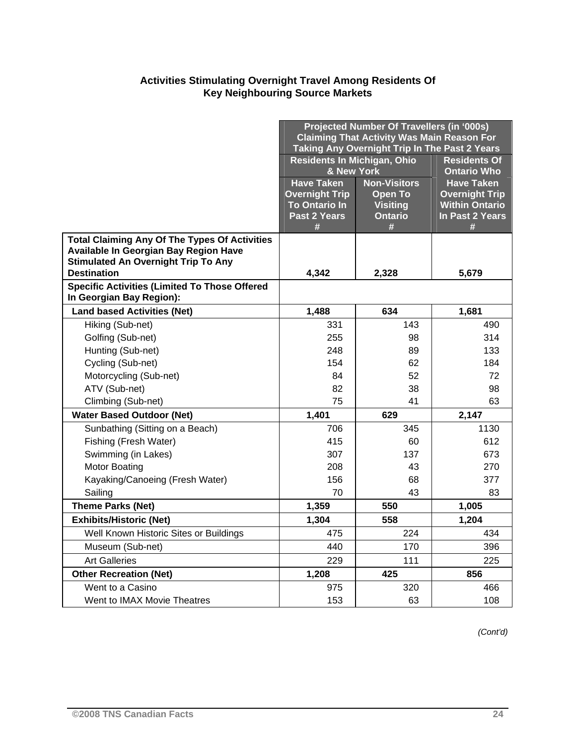### **Activities Stimulating Overnight Travel Among Residents Of Key Neighbouring Source Markets**

|                                                                  | Projected Number Of Travellers (in '000s)<br><b>Claiming That Activity Was Main Reason For</b><br>Taking Any Overnight Trip In The Past 2 Years |                                   |                                                |
|------------------------------------------------------------------|-------------------------------------------------------------------------------------------------------------------------------------------------|-----------------------------------|------------------------------------------------|
|                                                                  | Residents In Michigan, Ohio<br><b>Residents Of</b>                                                                                              |                                   |                                                |
|                                                                  | & New York                                                                                                                                      |                                   | <b>Ontario Who</b>                             |
|                                                                  | <b>Have Taken</b>                                                                                                                               | <b>Non-Visitors</b>               | <b>Have Taken</b>                              |
|                                                                  | <b>Overnight Trip</b><br><b>To Ontario In</b>                                                                                                   | <b>Open To</b><br><b>Visiting</b> | <b>Overnight Trip</b><br><b>Within Ontario</b> |
|                                                                  | Past 2 Years                                                                                                                                    | <b>Ontario</b>                    | In Past 2 Years                                |
|                                                                  | #                                                                                                                                               | #                                 | #                                              |
| <b>Total Claiming Any Of The Types Of Activities</b>             |                                                                                                                                                 |                                   |                                                |
| Available In Georgian Bay Region Have                            |                                                                                                                                                 |                                   |                                                |
| <b>Stimulated An Overnight Trip To Any</b><br><b>Destination</b> | 4,342                                                                                                                                           | 2,328                             | 5,679                                          |
| <b>Specific Activities (Limited To Those Offered</b>             |                                                                                                                                                 |                                   |                                                |
| In Georgian Bay Region):                                         |                                                                                                                                                 |                                   |                                                |
| <b>Land based Activities (Net)</b>                               | 1,488                                                                                                                                           | 634                               | 1,681                                          |
| Hiking (Sub-net)                                                 | 331                                                                                                                                             | 143                               | 490                                            |
| Golfing (Sub-net)                                                | 255                                                                                                                                             | 98                                | 314                                            |
| Hunting (Sub-net)                                                | 248                                                                                                                                             | 89                                | 133                                            |
| Cycling (Sub-net)                                                | 154                                                                                                                                             | 62                                | 184                                            |
| Motorcycling (Sub-net)                                           | 84                                                                                                                                              | 52                                | 72                                             |
| ATV (Sub-net)                                                    | 82                                                                                                                                              | 38                                | 98                                             |
| Climbing (Sub-net)                                               | 75                                                                                                                                              | 41                                | 63                                             |
| <b>Water Based Outdoor (Net)</b>                                 | 1,401                                                                                                                                           | 629                               | 2,147                                          |
| Sunbathing (Sitting on a Beach)                                  | 706                                                                                                                                             | 345                               | 1130                                           |
| Fishing (Fresh Water)                                            | 415                                                                                                                                             | 60                                | 612                                            |
| Swimming (in Lakes)                                              | 307                                                                                                                                             | 137                               | 673                                            |
| <b>Motor Boating</b>                                             | 208                                                                                                                                             | 43                                | 270                                            |
| Kayaking/Canoeing (Fresh Water)                                  | 156                                                                                                                                             | 68                                | 377                                            |
| Sailing                                                          | 70                                                                                                                                              | 43                                | 83                                             |
| <b>Theme Parks (Net)</b>                                         | 1,359                                                                                                                                           | 550                               | 1,005                                          |
| <b>Exhibits/Historic (Net)</b>                                   | 1,304                                                                                                                                           | 558                               | 1,204                                          |
| Well Known Historic Sites or Buildings                           | 475                                                                                                                                             | 224                               | 434                                            |
| Museum (Sub-net)                                                 | 440                                                                                                                                             | 170                               | 396                                            |
| <b>Art Galleries</b>                                             | 229                                                                                                                                             | 111                               | 225                                            |
| <b>Other Recreation (Net)</b>                                    | 1,208                                                                                                                                           | 425                               | 856                                            |
| Went to a Casino                                                 | 975                                                                                                                                             | 320                               | 466                                            |
| Went to IMAX Movie Theatres                                      | 153                                                                                                                                             | 63                                | 108                                            |

*(Cont'd)*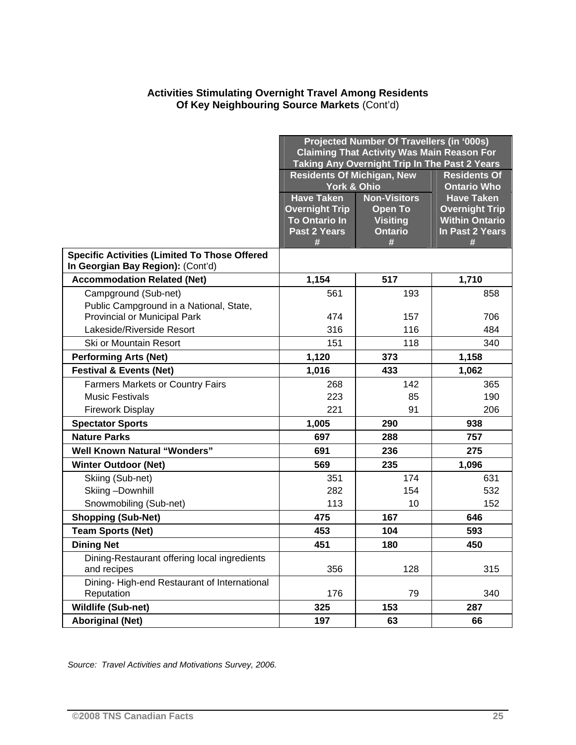#### **Activities Stimulating Overnight Travel Among Residents Of Key Neighbouring Source Markets** (Cont'd)

|                                                                                           | Projected Number Of Travellers (in '000s)<br><b>Claiming That Activity Was Main Reason For</b><br>Taking Any Overnight Trip In The Past 2 Years |                                                          |                                                                        |
|-------------------------------------------------------------------------------------------|-------------------------------------------------------------------------------------------------------------------------------------------------|----------------------------------------------------------|------------------------------------------------------------------------|
|                                                                                           | <b>Residents Of Michigan, New</b><br><b>Residents Of</b><br>York & Ohio<br><b>Ontario Who</b>                                                   |                                                          |                                                                        |
|                                                                                           | <b>Have Taken</b>                                                                                                                               | <b>Non-Visitors</b>                                      | <b>Have Taken</b>                                                      |
|                                                                                           | <b>Overnight Trip</b><br><b>To Ontario In</b><br>Past 2 Years<br>#                                                                              | <b>Open To</b><br><b>Visiting</b><br><b>Ontario</b><br># | <b>Overnight Trip</b><br><b>Within Ontario</b><br>In Past 2 Years<br># |
| <b>Specific Activities (Limited To Those Offered</b><br>In Georgian Bay Region): (Cont'd) |                                                                                                                                                 |                                                          |                                                                        |
| <b>Accommodation Related (Net)</b>                                                        | 1,154                                                                                                                                           | 517                                                      | 1,710                                                                  |
| Campground (Sub-net)                                                                      | 561                                                                                                                                             | 193                                                      | 858                                                                    |
| Public Campground in a National, State,<br><b>Provincial or Municipal Park</b>            | 474                                                                                                                                             | 157                                                      | 706                                                                    |
| Lakeside/Riverside Resort                                                                 | 316                                                                                                                                             | 116                                                      | 484                                                                    |
| Ski or Mountain Resort                                                                    | 151                                                                                                                                             | 118                                                      | 340                                                                    |
| <b>Performing Arts (Net)</b>                                                              | 1,120                                                                                                                                           | 373                                                      | 1,158                                                                  |
| <b>Festival &amp; Events (Net)</b>                                                        | 1,016                                                                                                                                           | 433                                                      | 1,062                                                                  |
| <b>Farmers Markets or Country Fairs</b>                                                   | 268                                                                                                                                             | 142                                                      | 365                                                                    |
| <b>Music Festivals</b>                                                                    | 223                                                                                                                                             | 85                                                       | 190                                                                    |
| <b>Firework Display</b>                                                                   | 221                                                                                                                                             | 91                                                       | 206                                                                    |
| <b>Spectator Sports</b>                                                                   | 1,005                                                                                                                                           | 290                                                      | 938                                                                    |
| <b>Nature Parks</b>                                                                       | 697                                                                                                                                             | 288                                                      | 757                                                                    |
| <b>Well Known Natural "Wonders"</b>                                                       | 691                                                                                                                                             | 236                                                      | 275                                                                    |
| <b>Winter Outdoor (Net)</b>                                                               | 569                                                                                                                                             | 235                                                      | 1,096                                                                  |
| Skiing (Sub-net)                                                                          | 351                                                                                                                                             | 174                                                      | 631                                                                    |
| Skiing-Downhill                                                                           | 282                                                                                                                                             | 154                                                      | 532                                                                    |
| Snowmobiling (Sub-net)                                                                    | 113                                                                                                                                             | 10                                                       | 152                                                                    |
| <b>Shopping (Sub-Net)</b>                                                                 | 475                                                                                                                                             | 167                                                      | 646                                                                    |
| <b>Team Sports (Net)</b>                                                                  | 453                                                                                                                                             | 104                                                      | 593                                                                    |
| <b>Dining Net</b>                                                                         | 451                                                                                                                                             | 180                                                      | 450                                                                    |
| Dining-Restaurant offering local ingredients<br>and recipes                               | 356                                                                                                                                             | 128                                                      | 315                                                                    |
| Dining-High-end Restaurant of International<br>Reputation                                 | 176                                                                                                                                             | 79                                                       | 340                                                                    |
| <b>Wildlife (Sub-net)</b>                                                                 | 325                                                                                                                                             | 153                                                      | 287                                                                    |
| <b>Aboriginal (Net)</b>                                                                   | 197                                                                                                                                             | 63                                                       | 66                                                                     |

*Source: Travel Activities and Motivations Survey, 2006.*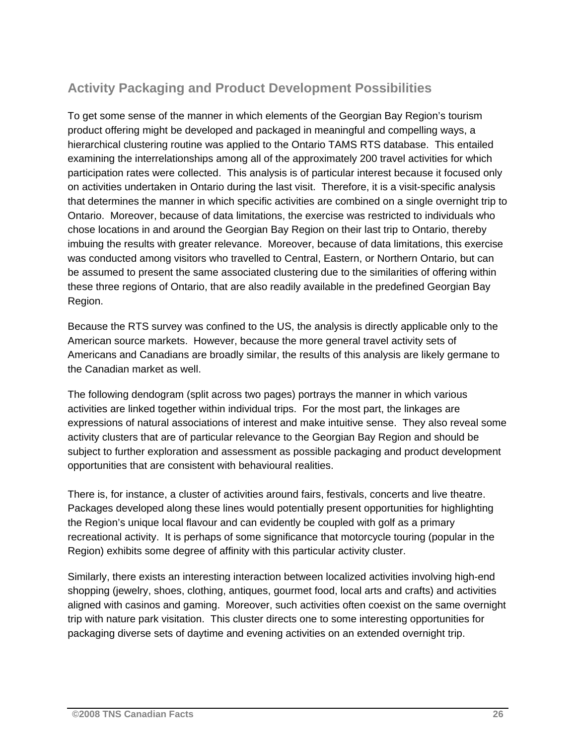### **Activity Packaging and Product Development Possibilities**

To get some sense of the manner in which elements of the Georgian Bay Region's tourism product offering might be developed and packaged in meaningful and compelling ways, a hierarchical clustering routine was applied to the Ontario TAMS RTS database. This entailed examining the interrelationships among all of the approximately 200 travel activities for which participation rates were collected. This analysis is of particular interest because it focused only on activities undertaken in Ontario during the last visit. Therefore, it is a visit-specific analysis that determines the manner in which specific activities are combined on a single overnight trip to Ontario. Moreover, because of data limitations, the exercise was restricted to individuals who chose locations in and around the Georgian Bay Region on their last trip to Ontario, thereby imbuing the results with greater relevance. Moreover, because of data limitations, this exercise was conducted among visitors who travelled to Central, Eastern, or Northern Ontario, but can be assumed to present the same associated clustering due to the similarities of offering within these three regions of Ontario, that are also readily available in the predefined Georgian Bay Region.

Because the RTS survey was confined to the US, the analysis is directly applicable only to the American source markets. However, because the more general travel activity sets of Americans and Canadians are broadly similar, the results of this analysis are likely germane to the Canadian market as well.

The following dendogram (split across two pages) portrays the manner in which various activities are linked together within individual trips. For the most part, the linkages are expressions of natural associations of interest and make intuitive sense. They also reveal some activity clusters that are of particular relevance to the Georgian Bay Region and should be subject to further exploration and assessment as possible packaging and product development opportunities that are consistent with behavioural realities.

There is, for instance, a cluster of activities around fairs, festivals, concerts and live theatre. Packages developed along these lines would potentially present opportunities for highlighting the Region's unique local flavour and can evidently be coupled with golf as a primary recreational activity. It is perhaps of some significance that motorcycle touring (popular in the Region) exhibits some degree of affinity with this particular activity cluster.

Similarly, there exists an interesting interaction between localized activities involving high-end shopping (jewelry, shoes, clothing, antiques, gourmet food, local arts and crafts) and activities aligned with casinos and gaming. Moreover, such activities often coexist on the same overnight trip with nature park visitation. This cluster directs one to some interesting opportunities for packaging diverse sets of daytime and evening activities on an extended overnight trip.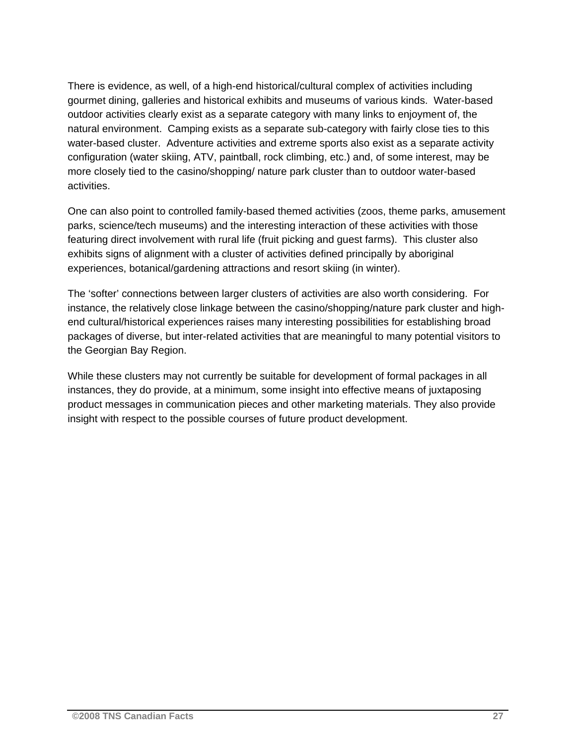There is evidence, as well, of a high-end historical/cultural complex of activities including gourmet dining, galleries and historical exhibits and museums of various kinds. Water-based outdoor activities clearly exist as a separate category with many links to enjoyment of, the natural environment. Camping exists as a separate sub-category with fairly close ties to this water-based cluster. Adventure activities and extreme sports also exist as a separate activity configuration (water skiing, ATV, paintball, rock climbing, etc.) and, of some interest, may be more closely tied to the casino/shopping/ nature park cluster than to outdoor water-based activities.

One can also point to controlled family-based themed activities (zoos, theme parks, amusement parks, science/tech museums) and the interesting interaction of these activities with those featuring direct involvement with rural life (fruit picking and guest farms). This cluster also exhibits signs of alignment with a cluster of activities defined principally by aboriginal experiences, botanical/gardening attractions and resort skiing (in winter).

The 'softer' connections between larger clusters of activities are also worth considering. For instance, the relatively close linkage between the casino/shopping/nature park cluster and highend cultural/historical experiences raises many interesting possibilities for establishing broad packages of diverse, but inter-related activities that are meaningful to many potential visitors to the Georgian Bay Region.

While these clusters may not currently be suitable for development of formal packages in all instances, they do provide, at a minimum, some insight into effective means of juxtaposing product messages in communication pieces and other marketing materials. They also provide insight with respect to the possible courses of future product development.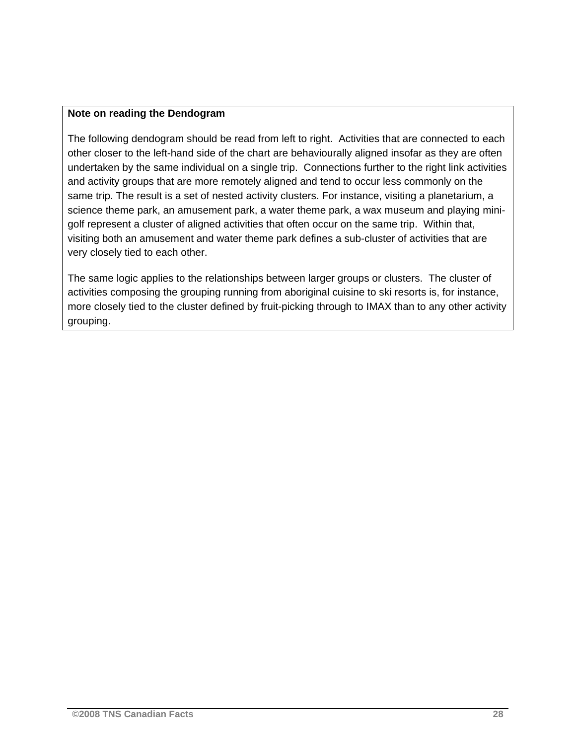#### **Note on reading the Dendogram**

The following dendogram should be read from left to right. Activities that are connected to each other closer to the left-hand side of the chart are behaviourally aligned insofar as they are often undertaken by the same individual on a single trip. Connections further to the right link activities and activity groups that are more remotely aligned and tend to occur less commonly on the same trip. The result is a set of nested activity clusters. For instance, visiting a planetarium, a science theme park, an amusement park, a water theme park, a wax museum and playing minigolf represent a cluster of aligned activities that often occur on the same trip. Within that, visiting both an amusement and water theme park defines a sub-cluster of activities that are very closely tied to each other.

The same logic applies to the relationships between larger groups or clusters. The cluster of activities composing the grouping running from aboriginal cuisine to ski resorts is, for instance, more closely tied to the cluster defined by fruit-picking through to IMAX than to any other activity grouping.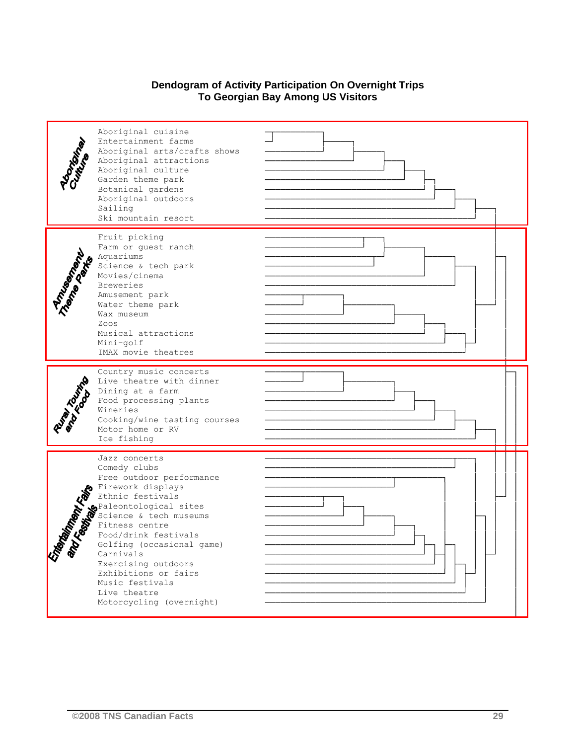### **Dendogram of Activity Participation On Overnight Trips To Georgian Bay Among US Visitors**

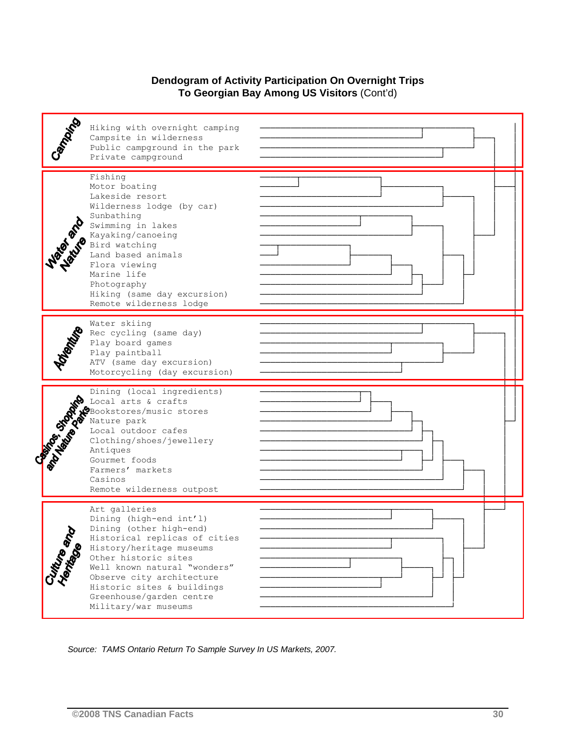#### **Dendogram of Activity Participation On Overnight Trips To Georgian Bay Among US Visitors** (Cont'd)



*Source: TAMS Ontario Return To Sample Survey In US Markets, 2007.*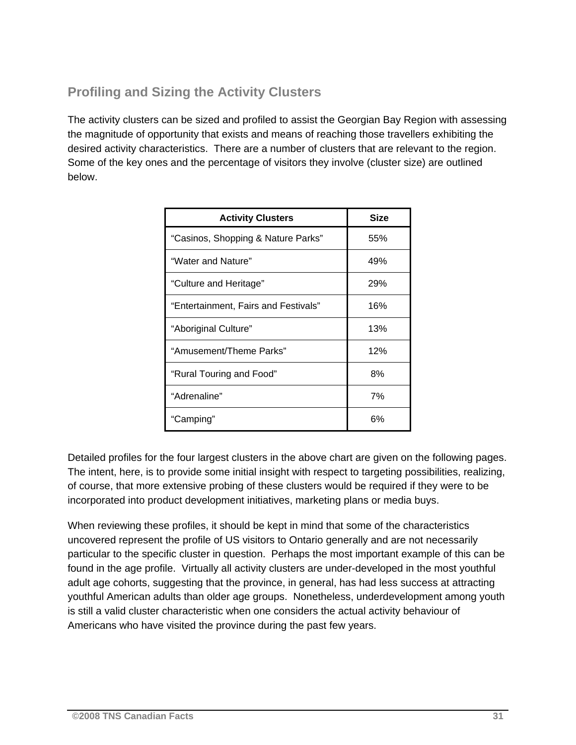### **Profiling and Sizing the Activity Clusters**

The activity clusters can be sized and profiled to assist the Georgian Bay Region with assessing the magnitude of opportunity that exists and means of reaching those travellers exhibiting the desired activity characteristics. There are a number of clusters that are relevant to the region. Some of the key ones and the percentage of visitors they involve (cluster size) are outlined below.

| <b>Activity Clusters</b>             | <b>Size</b> |
|--------------------------------------|-------------|
| "Casinos, Shopping & Nature Parks"   | 55%         |
| "Water and Nature"                   | 49%         |
| "Culture and Heritage"               | 29%         |
| "Entertainment, Fairs and Festivals" | 16%         |
| "Aboriginal Culture"                 | 13%         |
| "Amusement/Theme Parks"              | 12%         |
| "Rural Touring and Food"             | 8%          |
| "Adrenaline"                         | 7%          |
| "Camping"                            | 6%          |

Detailed profiles for the four largest clusters in the above chart are given on the following pages. The intent, here, is to provide some initial insight with respect to targeting possibilities, realizing, of course, that more extensive probing of these clusters would be required if they were to be incorporated into product development initiatives, marketing plans or media buys.

When reviewing these profiles, it should be kept in mind that some of the characteristics uncovered represent the profile of US visitors to Ontario generally and are not necessarily particular to the specific cluster in question. Perhaps the most important example of this can be found in the age profile. Virtually all activity clusters are under-developed in the most youthful adult age cohorts, suggesting that the province, in general, has had less success at attracting youthful American adults than older age groups. Nonetheless, underdevelopment among youth is still a valid cluster characteristic when one considers the actual activity behaviour of Americans who have visited the province during the past few years.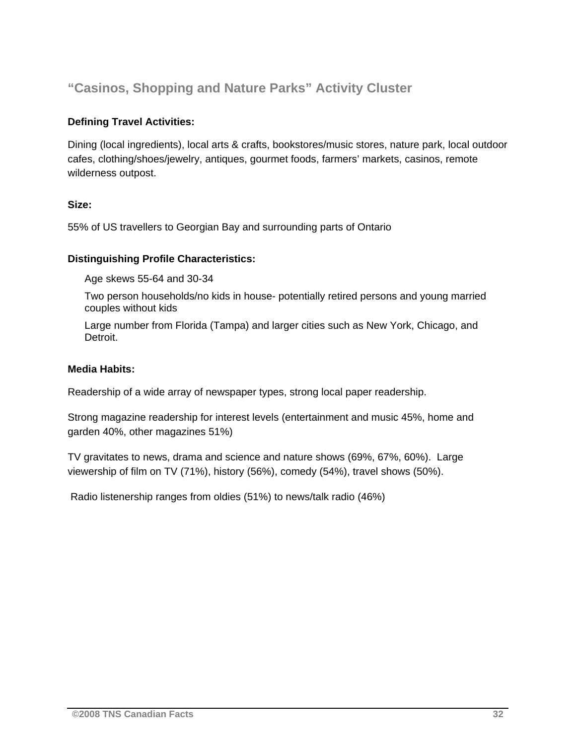### **"Casinos, Shopping and Nature Parks" Activity Cluster**

### **Defining Travel Activities:**

Dining (local ingredients), local arts & crafts, bookstores/music stores, nature park, local outdoor cafes, clothing/shoes/jewelry, antiques, gourmet foods, farmers' markets, casinos, remote wilderness outpost.

### **Size:**

55% of US travellers to Georgian Bay and surrounding parts of Ontario

### **Distinguishing Profile Characteristics:**

Age skews 55-64 and 30-34

Two person households/no kids in house- potentially retired persons and young married couples without kids

Large number from Florida (Tampa) and larger cities such as New York, Chicago, and Detroit.

#### **Media Habits:**

Readership of a wide array of newspaper types, strong local paper readership.

Strong magazine readership for interest levels (entertainment and music 45%, home and garden 40%, other magazines 51%)

TV gravitates to news, drama and science and nature shows (69%, 67%, 60%). Large viewership of film on TV (71%), history (56%), comedy (54%), travel shows (50%).

Radio listenership ranges from oldies (51%) to news/talk radio (46%)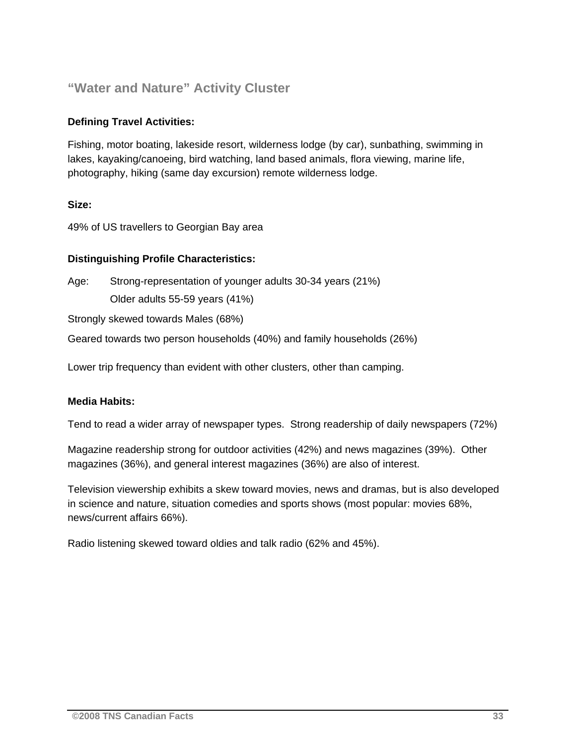### **"Water and Nature" Activity Cluster**

### **Defining Travel Activities:**

Fishing, motor boating, lakeside resort, wilderness lodge (by car), sunbathing, swimming in lakes, kayaking/canoeing, bird watching, land based animals, flora viewing, marine life, photography, hiking (same day excursion) remote wilderness lodge.

### **Size:**

49% of US travellers to Georgian Bay area

### **Distinguishing Profile Characteristics:**

Age: Strong-representation of younger adults 30-34 years (21%) Older adults 55-59 years (41%)

Strongly skewed towards Males (68%)

Geared towards two person households (40%) and family households (26%)

Lower trip frequency than evident with other clusters, other than camping.

#### **Media Habits:**

Tend to read a wider array of newspaper types. Strong readership of daily newspapers (72%)

Magazine readership strong for outdoor activities (42%) and news magazines (39%). Other magazines (36%), and general interest magazines (36%) are also of interest.

Television viewership exhibits a skew toward movies, news and dramas, but is also developed in science and nature, situation comedies and sports shows (most popular: movies 68%, news/current affairs 66%).

Radio listening skewed toward oldies and talk radio (62% and 45%).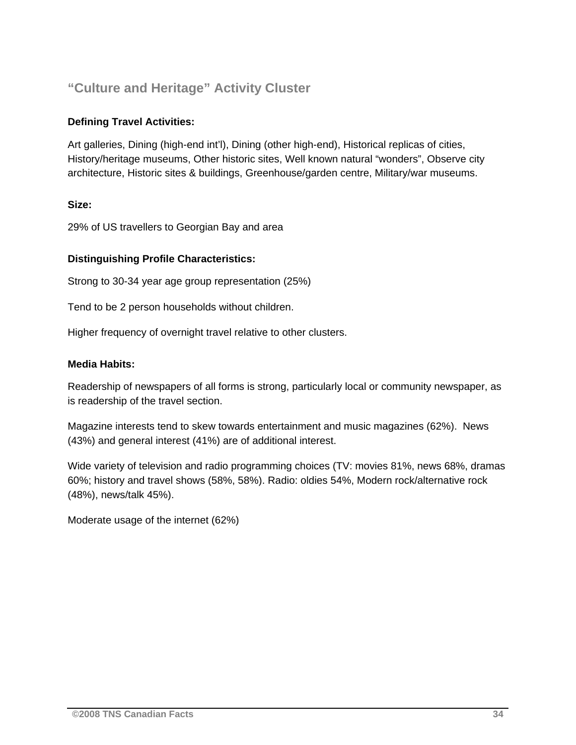### **"Culture and Heritage" Activity Cluster**

### **Defining Travel Activities:**

Art galleries, Dining (high-end int'l), Dining (other high-end), Historical replicas of cities, History/heritage museums, Other historic sites, Well known natural "wonders", Observe city architecture, Historic sites & buildings, Greenhouse/garden centre, Military/war museums.

### **Size:**

29% of US travellers to Georgian Bay and area

### **Distinguishing Profile Characteristics:**

Strong to 30-34 year age group representation (25%)

Tend to be 2 person households without children.

Higher frequency of overnight travel relative to other clusters.

#### **Media Habits:**

Readership of newspapers of all forms is strong, particularly local or community newspaper, as is readership of the travel section.

Magazine interests tend to skew towards entertainment and music magazines (62%). News (43%) and general interest (41%) are of additional interest.

Wide variety of television and radio programming choices (TV: movies 81%, news 68%, dramas 60%; history and travel shows (58%, 58%). Radio: oldies 54%, Modern rock/alternative rock (48%), news/talk 45%).

Moderate usage of the internet (62%)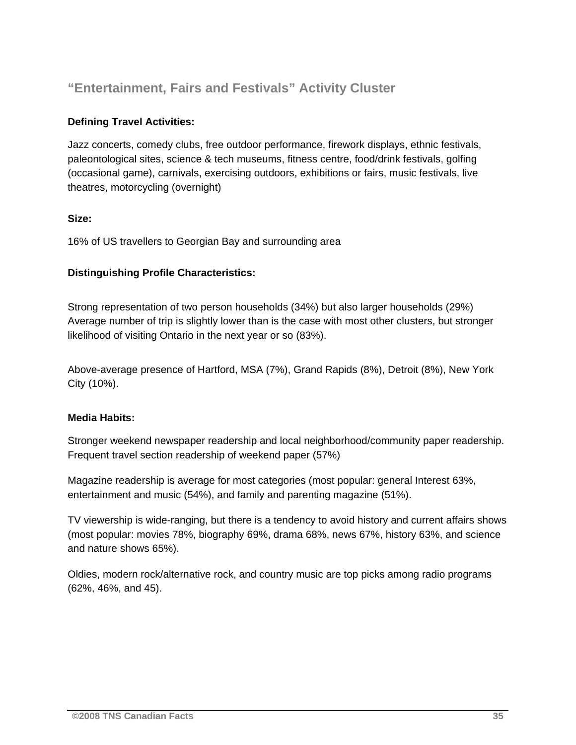### **"Entertainment, Fairs and Festivals" Activity Cluster**

### **Defining Travel Activities:**

Jazz concerts, comedy clubs, free outdoor performance, firework displays, ethnic festivals, paleontological sites, science & tech museums, fitness centre, food/drink festivals, golfing (occasional game), carnivals, exercising outdoors, exhibitions or fairs, music festivals, live theatres, motorcycling (overnight)

### **Size:**

16% of US travellers to Georgian Bay and surrounding area

### **Distinguishing Profile Characteristics:**

Strong representation of two person households (34%) but also larger households (29%) Average number of trip is slightly lower than is the case with most other clusters, but stronger likelihood of visiting Ontario in the next year or so (83%).

Above-average presence of Hartford, MSA (7%), Grand Rapids (8%), Detroit (8%), New York City (10%).

### **Media Habits:**

Stronger weekend newspaper readership and local neighborhood/community paper readership. Frequent travel section readership of weekend paper (57%)

Magazine readership is average for most categories (most popular: general Interest 63%, entertainment and music (54%), and family and parenting magazine (51%).

TV viewership is wide-ranging, but there is a tendency to avoid history and current affairs shows (most popular: movies 78%, biography 69%, drama 68%, news 67%, history 63%, and science and nature shows 65%).

Oldies, modern rock/alternative rock, and country music are top picks among radio programs (62%, 46%, and 45).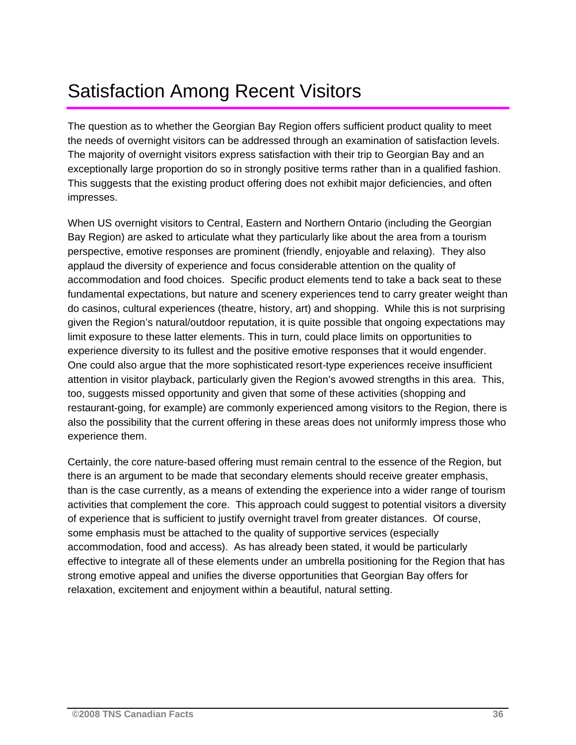# Satisfaction Among Recent Visitors

The question as to whether the Georgian Bay Region offers sufficient product quality to meet the needs of overnight visitors can be addressed through an examination of satisfaction levels. The majority of overnight visitors express satisfaction with their trip to Georgian Bay and an exceptionally large proportion do so in strongly positive terms rather than in a qualified fashion. This suggests that the existing product offering does not exhibit major deficiencies, and often impresses.

When US overnight visitors to Central, Eastern and Northern Ontario (including the Georgian Bay Region) are asked to articulate what they particularly like about the area from a tourism perspective, emotive responses are prominent (friendly, enjoyable and relaxing). They also applaud the diversity of experience and focus considerable attention on the quality of accommodation and food choices. Specific product elements tend to take a back seat to these fundamental expectations, but nature and scenery experiences tend to carry greater weight than do casinos, cultural experiences (theatre, history, art) and shopping. While this is not surprising given the Region's natural/outdoor reputation, it is quite possible that ongoing expectations may limit exposure to these latter elements. This in turn, could place limits on opportunities to experience diversity to its fullest and the positive emotive responses that it would engender. One could also argue that the more sophisticated resort-type experiences receive insufficient attention in visitor playback, particularly given the Region's avowed strengths in this area. This, too, suggests missed opportunity and given that some of these activities (shopping and restaurant-going, for example) are commonly experienced among visitors to the Region, there is also the possibility that the current offering in these areas does not uniformly impress those who experience them.

Certainly, the core nature-based offering must remain central to the essence of the Region, but there is an argument to be made that secondary elements should receive greater emphasis, than is the case currently, as a means of extending the experience into a wider range of tourism activities that complement the core. This approach could suggest to potential visitors a diversity of experience that is sufficient to justify overnight travel from greater distances. Of course, some emphasis must be attached to the quality of supportive services (especially accommodation, food and access). As has already been stated, it would be particularly effective to integrate all of these elements under an umbrella positioning for the Region that has strong emotive appeal and unifies the diverse opportunities that Georgian Bay offers for relaxation, excitement and enjoyment within a beautiful, natural setting.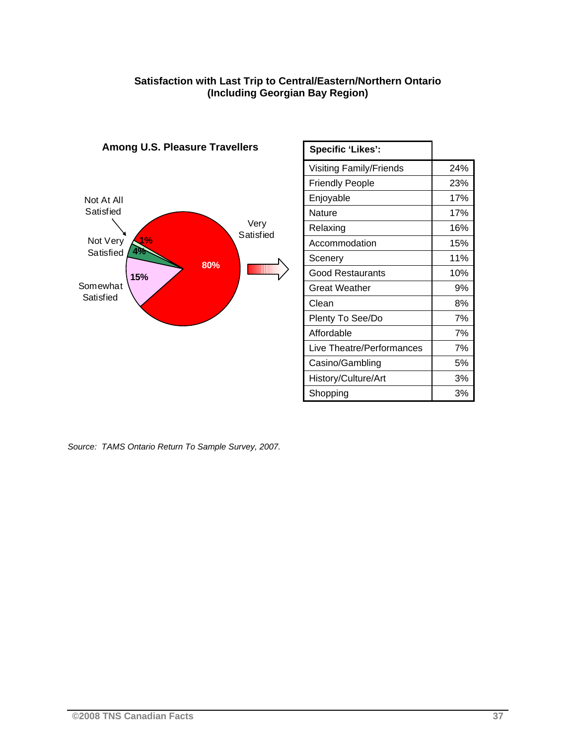#### **Satisfaction with Last Trip to Central/Eastern/Northern Ontario (Including Georgian Bay Region)**



**Among U.S. Pleasure Travellers**

### **Specific 'Likes':**  Visiting Family/Friends | 24% Friendly People 23% Enjoyable 17% Nature 17% Relaxing 16% Accommodation 15% Scenery 11% Good Restaurants 10% Great Weather **1** 9% Clean 8% Plenty To See/Do 7% Affordable 7% Live Theatre/Performances 7% Casino/Gambling | 5% History/Culture/Art 13% Shopping and 3%

*Source: TAMS Ontario Return To Sample Survey, 2007.*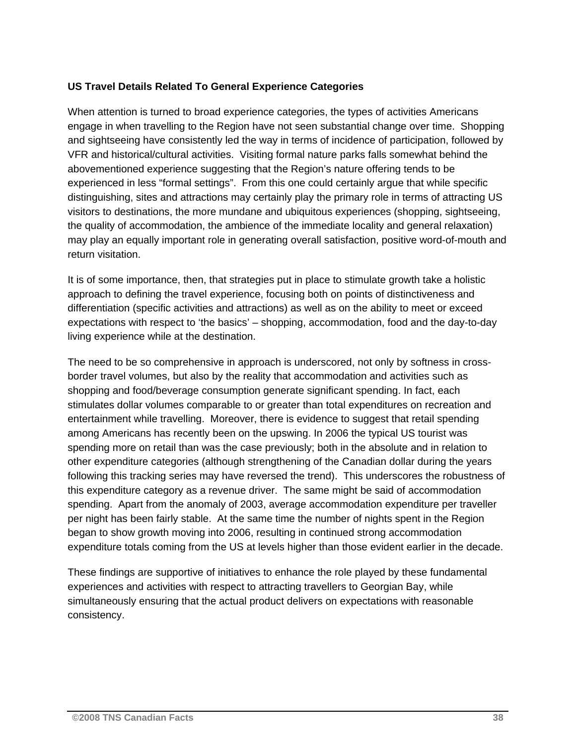### **US Travel Details Related To General Experience Categories**

When attention is turned to broad experience categories, the types of activities Americans engage in when travelling to the Region have not seen substantial change over time. Shopping and sightseeing have consistently led the way in terms of incidence of participation, followed by VFR and historical/cultural activities. Visiting formal nature parks falls somewhat behind the abovementioned experience suggesting that the Region's nature offering tends to be experienced in less "formal settings". From this one could certainly argue that while specific distinguishing, sites and attractions may certainly play the primary role in terms of attracting US visitors to destinations, the more mundane and ubiquitous experiences (shopping, sightseeing, the quality of accommodation, the ambience of the immediate locality and general relaxation) may play an equally important role in generating overall satisfaction, positive word-of-mouth and return visitation.

It is of some importance, then, that strategies put in place to stimulate growth take a holistic approach to defining the travel experience, focusing both on points of distinctiveness and differentiation (specific activities and attractions) as well as on the ability to meet or exceed expectations with respect to 'the basics' – shopping, accommodation, food and the day-to-day living experience while at the destination.

The need to be so comprehensive in approach is underscored, not only by softness in crossborder travel volumes, but also by the reality that accommodation and activities such as shopping and food/beverage consumption generate significant spending. In fact, each stimulates dollar volumes comparable to or greater than total expenditures on recreation and entertainment while travelling. Moreover, there is evidence to suggest that retail spending among Americans has recently been on the upswing. In 2006 the typical US tourist was spending more on retail than was the case previously; both in the absolute and in relation to other expenditure categories (although strengthening of the Canadian dollar during the years following this tracking series may have reversed the trend). This underscores the robustness of this expenditure category as a revenue driver. The same might be said of accommodation spending. Apart from the anomaly of 2003, average accommodation expenditure per traveller per night has been fairly stable. At the same time the number of nights spent in the Region began to show growth moving into 2006, resulting in continued strong accommodation expenditure totals coming from the US at levels higher than those evident earlier in the decade.

These findings are supportive of initiatives to enhance the role played by these fundamental experiences and activities with respect to attracting travellers to Georgian Bay, while simultaneously ensuring that the actual product delivers on expectations with reasonable consistency.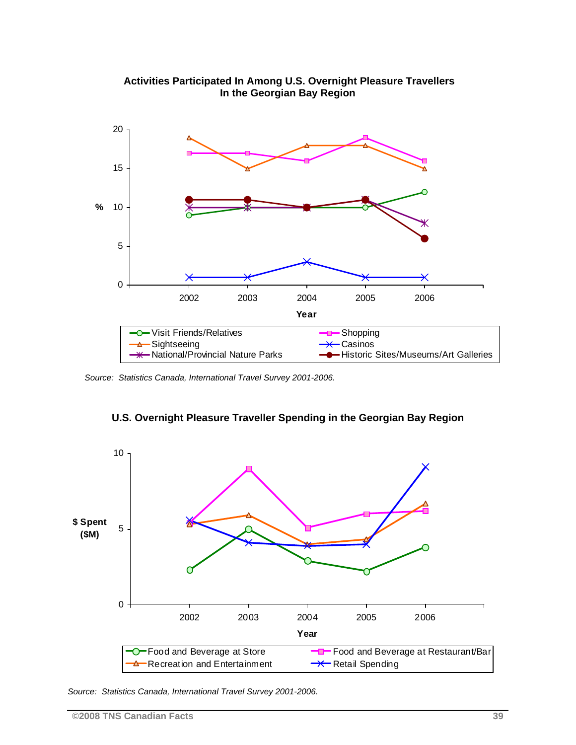

 **Activities Participated In Among U.S. Overnight Pleasure Travellers In the Georgian Bay Region** 

*Source: Statistics Canada, International Travel Survey 2001-2006.* 



**U.S. Overnight Pleasure Traveller Spending in the Georgian Bay Region** 

*Source: Statistics Canada, International Travel Survey 2001-2006.*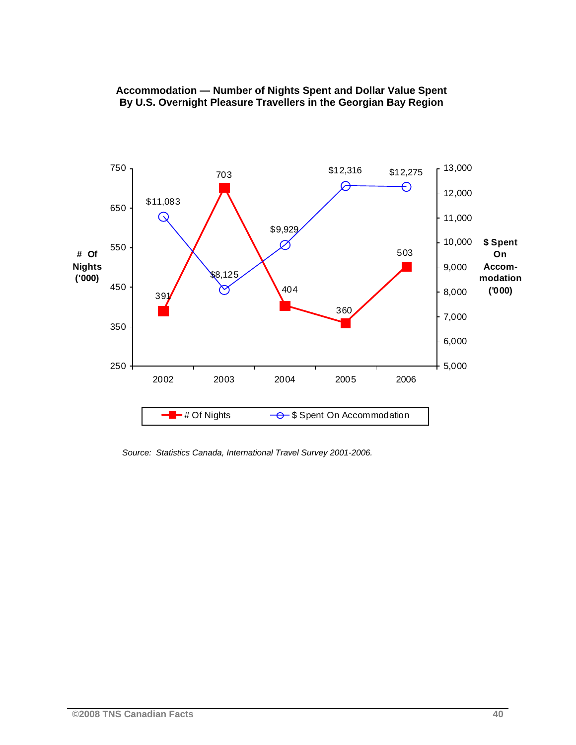

### **Accommodation — Number of Nights Spent and Dollar Value Spent By U.S. Overnight Pleasure Travellers in the Georgian Bay Region**

 *Source: Statistics Canada, International Travel Survey 2001-2006.*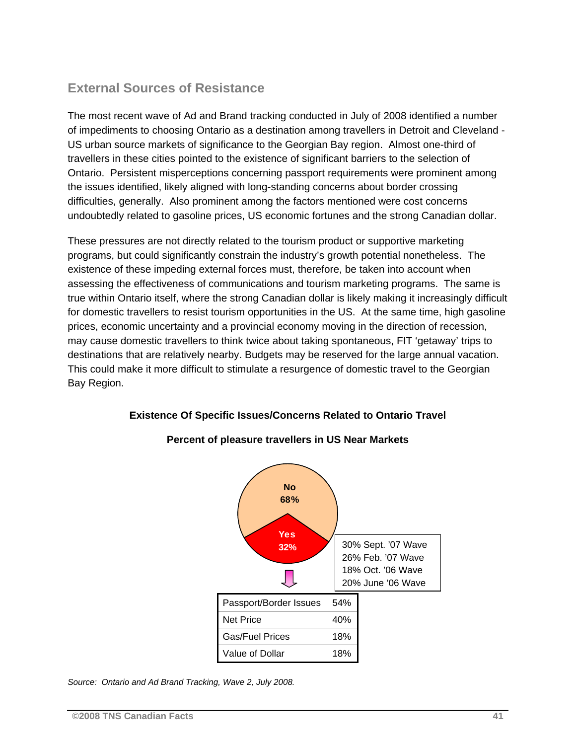### **External Sources of Resistance**

The most recent wave of Ad and Brand tracking conducted in July of 2008 identified a number of impediments to choosing Ontario as a destination among travellers in Detroit and Cleveland - US urban source markets of significance to the Georgian Bay region. Almost one-third of travellers in these cities pointed to the existence of significant barriers to the selection of Ontario. Persistent misperceptions concerning passport requirements were prominent among the issues identified, likely aligned with long-standing concerns about border crossing difficulties, generally. Also prominent among the factors mentioned were cost concerns undoubtedly related to gasoline prices, US economic fortunes and the strong Canadian dollar.

These pressures are not directly related to the tourism product or supportive marketing programs, but could significantly constrain the industry's growth potential nonetheless. The existence of these impeding external forces must, therefore, be taken into account when assessing the effectiveness of communications and tourism marketing programs. The same is true within Ontario itself, where the strong Canadian dollar is likely making it increasingly difficult for domestic travellers to resist tourism opportunities in the US. At the same time, high gasoline prices, economic uncertainty and a provincial economy moving in the direction of recession, may cause domestic travellers to think twice about taking spontaneous, FIT 'getaway' trips to destinations that are relatively nearby. Budgets may be reserved for the large annual vacation. This could make it more difficult to stimulate a resurgence of domestic travel to the Georgian Bay Region.

### **Existence Of Specific Issues/Concerns Related to Ontario Travel**



### **Percent of pleasure travellers in US Near Markets**

*Source: Ontario and Ad Brand Tracking, Wave 2, July 2008.*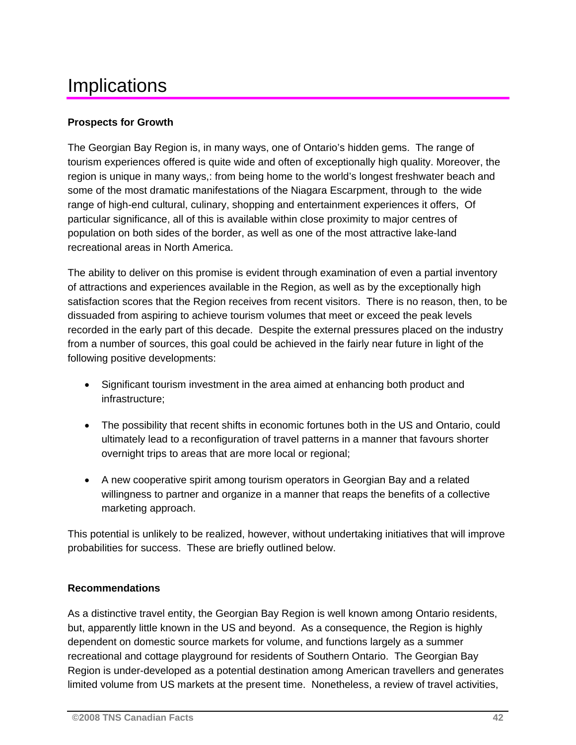## **Implications**

### **Prospects for Growth**

The Georgian Bay Region is, in many ways, one of Ontario's hidden gems. The range of tourism experiences offered is quite wide and often of exceptionally high quality. Moreover, the region is unique in many ways,: from being home to the world's longest freshwater beach and some of the most dramatic manifestations of the Niagara Escarpment, through to the wide range of high-end cultural, culinary, shopping and entertainment experiences it offers, Of particular significance, all of this is available within close proximity to major centres of population on both sides of the border, as well as one of the most attractive lake-land recreational areas in North America.

The ability to deliver on this promise is evident through examination of even a partial inventory of attractions and experiences available in the Region, as well as by the exceptionally high satisfaction scores that the Region receives from recent visitors. There is no reason, then, to be dissuaded from aspiring to achieve tourism volumes that meet or exceed the peak levels recorded in the early part of this decade. Despite the external pressures placed on the industry from a number of sources, this goal could be achieved in the fairly near future in light of the following positive developments:

- Significant tourism investment in the area aimed at enhancing both product and infrastructure;
- The possibility that recent shifts in economic fortunes both in the US and Ontario, could ultimately lead to a reconfiguration of travel patterns in a manner that favours shorter overnight trips to areas that are more local or regional;
- A new cooperative spirit among tourism operators in Georgian Bay and a related willingness to partner and organize in a manner that reaps the benefits of a collective marketing approach.

This potential is unlikely to be realized, however, without undertaking initiatives that will improve probabilities for success. These are briefly outlined below.

### **Recommendations**

As a distinctive travel entity, the Georgian Bay Region is well known among Ontario residents, but, apparently little known in the US and beyond. As a consequence, the Region is highly dependent on domestic source markets for volume, and functions largely as a summer recreational and cottage playground for residents of Southern Ontario. The Georgian Bay Region is under-developed as a potential destination among American travellers and generates limited volume from US markets at the present time. Nonetheless, a review of travel activities,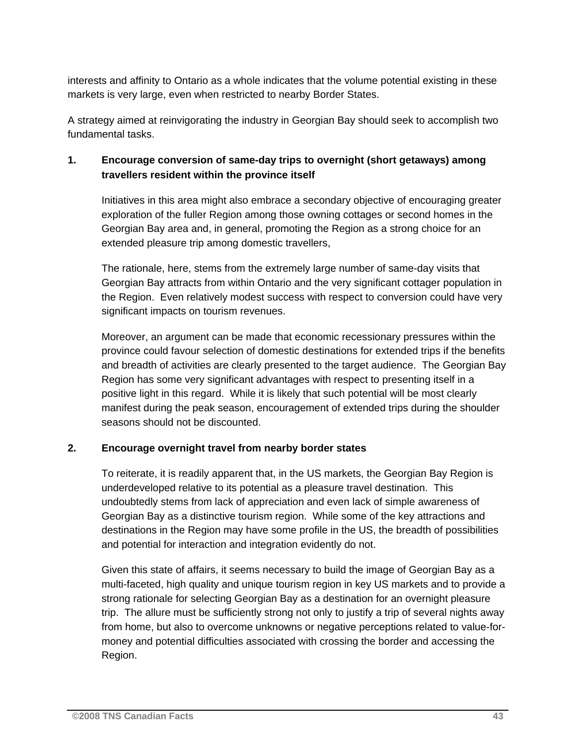interests and affinity to Ontario as a whole indicates that the volume potential existing in these markets is very large, even when restricted to nearby Border States.

A strategy aimed at reinvigorating the industry in Georgian Bay should seek to accomplish two fundamental tasks.

### **1. Encourage conversion of same-day trips to overnight (short getaways) among travellers resident within the province itself**

Initiatives in this area might also embrace a secondary objective of encouraging greater exploration of the fuller Region among those owning cottages or second homes in the Georgian Bay area and, in general, promoting the Region as a strong choice for an extended pleasure trip among domestic travellers,

The rationale, here, stems from the extremely large number of same-day visits that Georgian Bay attracts from within Ontario and the very significant cottager population in the Region. Even relatively modest success with respect to conversion could have very significant impacts on tourism revenues.

Moreover, an argument can be made that economic recessionary pressures within the province could favour selection of domestic destinations for extended trips if the benefits and breadth of activities are clearly presented to the target audience. The Georgian Bay Region has some very significant advantages with respect to presenting itself in a positive light in this regard. While it is likely that such potential will be most clearly manifest during the peak season, encouragement of extended trips during the shoulder seasons should not be discounted.

### **2. Encourage overnight travel from nearby border states**

To reiterate, it is readily apparent that, in the US markets, the Georgian Bay Region is underdeveloped relative to its potential as a pleasure travel destination. This undoubtedly stems from lack of appreciation and even lack of simple awareness of Georgian Bay as a distinctive tourism region. While some of the key attractions and destinations in the Region may have some profile in the US, the breadth of possibilities and potential for interaction and integration evidently do not.

Given this state of affairs, it seems necessary to build the image of Georgian Bay as a multi-faceted, high quality and unique tourism region in key US markets and to provide a strong rationale for selecting Georgian Bay as a destination for an overnight pleasure trip. The allure must be sufficiently strong not only to justify a trip of several nights away from home, but also to overcome unknowns or negative perceptions related to value-formoney and potential difficulties associated with crossing the border and accessing the Region.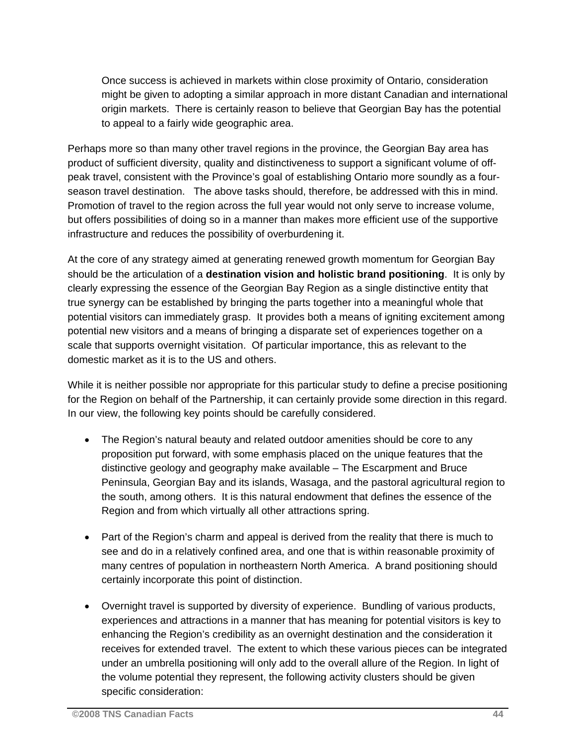Once success is achieved in markets within close proximity of Ontario, consideration might be given to adopting a similar approach in more distant Canadian and international origin markets. There is certainly reason to believe that Georgian Bay has the potential to appeal to a fairly wide geographic area.

Perhaps more so than many other travel regions in the province, the Georgian Bay area has product of sufficient diversity, quality and distinctiveness to support a significant volume of offpeak travel, consistent with the Province's goal of establishing Ontario more soundly as a fourseason travel destination. The above tasks should, therefore, be addressed with this in mind. Promotion of travel to the region across the full year would not only serve to increase volume, but offers possibilities of doing so in a manner than makes more efficient use of the supportive infrastructure and reduces the possibility of overburdening it.

At the core of any strategy aimed at generating renewed growth momentum for Georgian Bay should be the articulation of a **destination vision and holistic brand positioning**. It is only by clearly expressing the essence of the Georgian Bay Region as a single distinctive entity that true synergy can be established by bringing the parts together into a meaningful whole that potential visitors can immediately grasp. It provides both a means of igniting excitement among potential new visitors and a means of bringing a disparate set of experiences together on a scale that supports overnight visitation. Of particular importance, this as relevant to the domestic market as it is to the US and others.

While it is neither possible nor appropriate for this particular study to define a precise positioning for the Region on behalf of the Partnership, it can certainly provide some direction in this regard. In our view, the following key points should be carefully considered.

- The Region's natural beauty and related outdoor amenities should be core to any proposition put forward, with some emphasis placed on the unique features that the distinctive geology and geography make available – The Escarpment and Bruce Peninsula, Georgian Bay and its islands, Wasaga, and the pastoral agricultural region to the south, among others. It is this natural endowment that defines the essence of the Region and from which virtually all other attractions spring.
- Part of the Region's charm and appeal is derived from the reality that there is much to see and do in a relatively confined area, and one that is within reasonable proximity of many centres of population in northeastern North America. A brand positioning should certainly incorporate this point of distinction.
- Overnight travel is supported by diversity of experience. Bundling of various products, experiences and attractions in a manner that has meaning for potential visitors is key to enhancing the Region's credibility as an overnight destination and the consideration it receives for extended travel. The extent to which these various pieces can be integrated under an umbrella positioning will only add to the overall allure of the Region. In light of the volume potential they represent, the following activity clusters should be given specific consideration: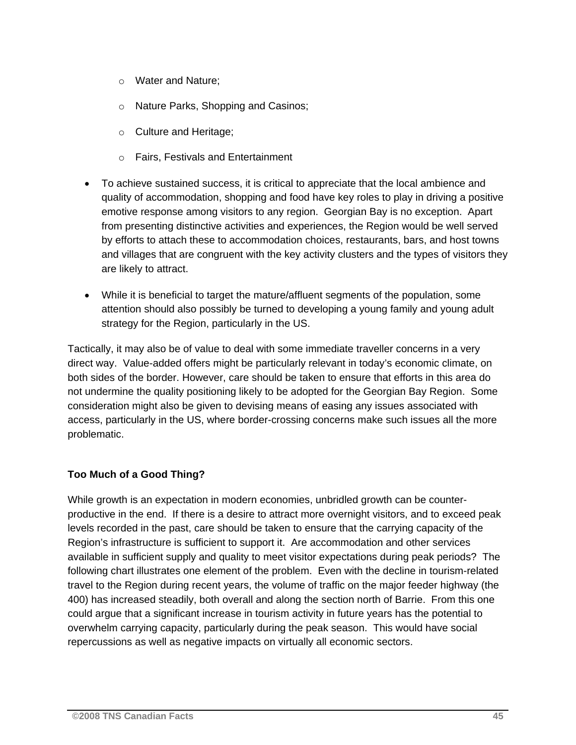- o Water and Nature;
- o Nature Parks, Shopping and Casinos;
- o Culture and Heritage;
- o Fairs, Festivals and Entertainment
- To achieve sustained success, it is critical to appreciate that the local ambience and quality of accommodation, shopping and food have key roles to play in driving a positive emotive response among visitors to any region. Georgian Bay is no exception. Apart from presenting distinctive activities and experiences, the Region would be well served by efforts to attach these to accommodation choices, restaurants, bars, and host towns and villages that are congruent with the key activity clusters and the types of visitors they are likely to attract.
- While it is beneficial to target the mature/affluent segments of the population, some attention should also possibly be turned to developing a young family and young adult strategy for the Region, particularly in the US.

Tactically, it may also be of value to deal with some immediate traveller concerns in a very direct way. Value-added offers might be particularly relevant in today's economic climate, on both sides of the border. However, care should be taken to ensure that efforts in this area do not undermine the quality positioning likely to be adopted for the Georgian Bay Region. Some consideration might also be given to devising means of easing any issues associated with access, particularly in the US, where border-crossing concerns make such issues all the more problematic.

### **Too Much of a Good Thing?**

While growth is an expectation in modern economies, unbridled growth can be counterproductive in the end. If there is a desire to attract more overnight visitors, and to exceed peak levels recorded in the past, care should be taken to ensure that the carrying capacity of the Region's infrastructure is sufficient to support it. Are accommodation and other services available in sufficient supply and quality to meet visitor expectations during peak periods? The following chart illustrates one element of the problem. Even with the decline in tourism-related travel to the Region during recent years, the volume of traffic on the major feeder highway (the 400) has increased steadily, both overall and along the section north of Barrie. From this one could argue that a significant increase in tourism activity in future years has the potential to overwhelm carrying capacity, particularly during the peak season. This would have social repercussions as well as negative impacts on virtually all economic sectors.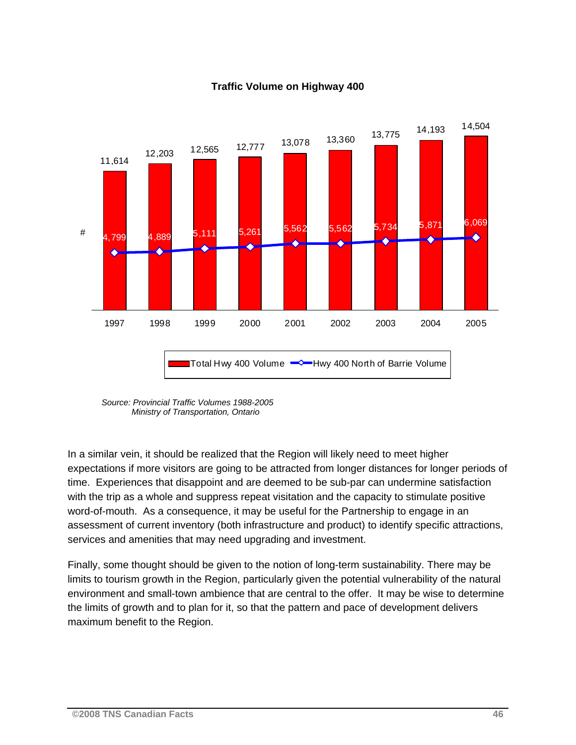

### **Traffic Volume on Highway 400**

 *Source: Provincial Traffic Volumes 1988-2005 Ministry of Transportation, Ontario* 

In a similar vein, it should be realized that the Region will likely need to meet higher expectations if more visitors are going to be attracted from longer distances for longer periods of time. Experiences that disappoint and are deemed to be sub-par can undermine satisfaction with the trip as a whole and suppress repeat visitation and the capacity to stimulate positive word-of-mouth. As a consequence, it may be useful for the Partnership to engage in an assessment of current inventory (both infrastructure and product) to identify specific attractions, services and amenities that may need upgrading and investment.

Finally, some thought should be given to the notion of long-term sustainability. There may be limits to tourism growth in the Region, particularly given the potential vulnerability of the natural environment and small-town ambience that are central to the offer. It may be wise to determine the limits of growth and to plan for it, so that the pattern and pace of development delivers maximum benefit to the Region.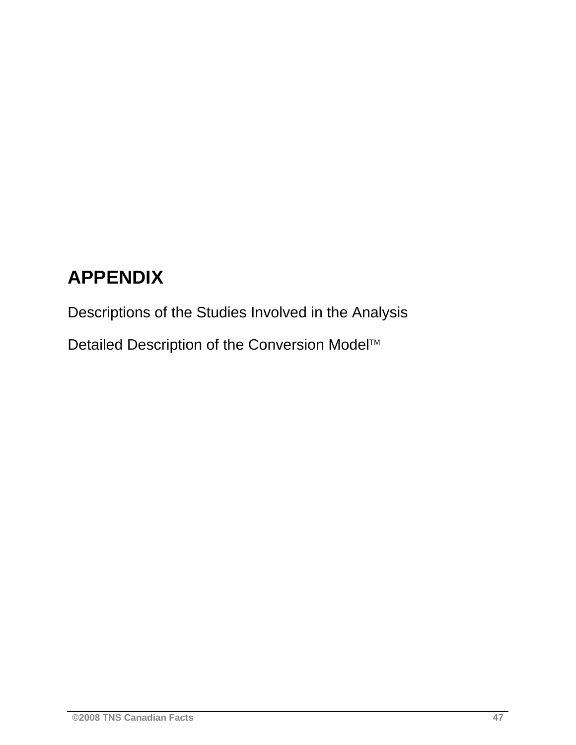# **APPENDIX**

Descriptions of the Studies Involved in the Analysis

Detailed Description of the Conversion Model<sup>™</sup>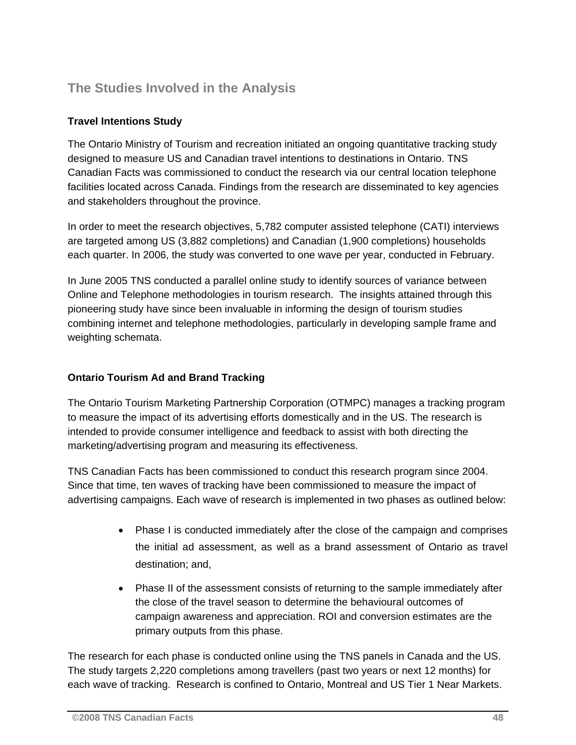### **The Studies Involved in the Analysis**

### **Travel Intentions Study**

The Ontario Ministry of Tourism and recreation initiated an ongoing quantitative tracking study designed to measure US and Canadian travel intentions to destinations in Ontario. TNS Canadian Facts was commissioned to conduct the research via our central location telephone facilities located across Canada. Findings from the research are disseminated to key agencies and stakeholders throughout the province.

In order to meet the research objectives, 5,782 computer assisted telephone (CATI) interviews are targeted among US (3,882 completions) and Canadian (1,900 completions) households each quarter. In 2006, the study was converted to one wave per year, conducted in February.

In June 2005 TNS conducted a parallel online study to identify sources of variance between Online and Telephone methodologies in tourism research. The insights attained through this pioneering study have since been invaluable in informing the design of tourism studies combining internet and telephone methodologies, particularly in developing sample frame and weighting schemata.

### **Ontario Tourism Ad and Brand Tracking**

The Ontario Tourism Marketing Partnership Corporation (OTMPC) manages a tracking program to measure the impact of its advertising efforts domestically and in the US. The research is intended to provide consumer intelligence and feedback to assist with both directing the marketing/advertising program and measuring its effectiveness.

TNS Canadian Facts has been commissioned to conduct this research program since 2004. Since that time, ten waves of tracking have been commissioned to measure the impact of advertising campaigns. Each wave of research is implemented in two phases as outlined below:

- Phase I is conducted immediately after the close of the campaign and comprises the initial ad assessment, as well as a brand assessment of Ontario as travel destination; and,
- Phase II of the assessment consists of returning to the sample immediately after the close of the travel season to determine the behavioural outcomes of campaign awareness and appreciation. ROI and conversion estimates are the primary outputs from this phase.

The research for each phase is conducted online using the TNS panels in Canada and the US. The study targets 2,220 completions among travellers (past two years or next 12 months) for each wave of tracking. Research is confined to Ontario, Montreal and US Tier 1 Near Markets.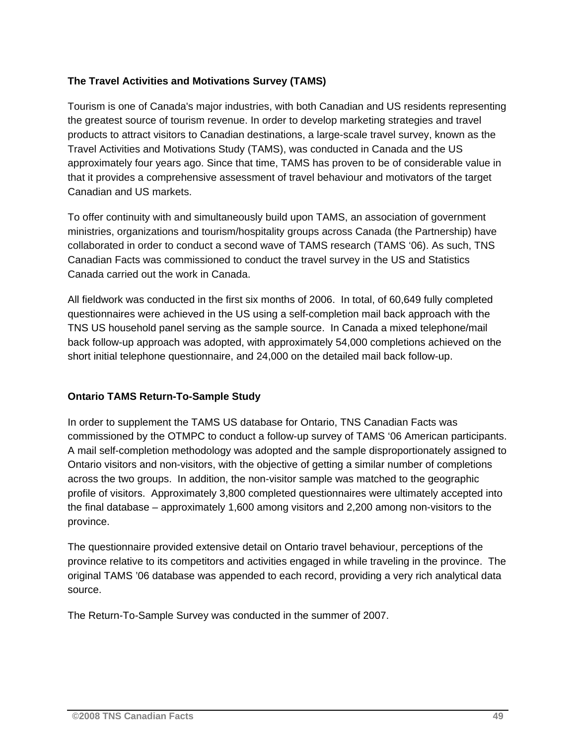### **The Travel Activities and Motivations Survey (TAMS)**

Tourism is one of Canada's major industries, with both Canadian and US residents representing the greatest source of tourism revenue. In order to develop marketing strategies and travel products to attract visitors to Canadian destinations, a large-scale travel survey, known as the Travel Activities and Motivations Study (TAMS), was conducted in Canada and the US approximately four years ago. Since that time, TAMS has proven to be of considerable value in that it provides a comprehensive assessment of travel behaviour and motivators of the target Canadian and US markets.

To offer continuity with and simultaneously build upon TAMS, an association of government ministries, organizations and tourism/hospitality groups across Canada (the Partnership) have collaborated in order to conduct a second wave of TAMS research (TAMS '06). As such, TNS Canadian Facts was commissioned to conduct the travel survey in the US and Statistics Canada carried out the work in Canada.

All fieldwork was conducted in the first six months of 2006. In total, of 60,649 fully completed questionnaires were achieved in the US using a self-completion mail back approach with the TNS US household panel serving as the sample source. In Canada a mixed telephone/mail back follow-up approach was adopted, with approximately 54,000 completions achieved on the short initial telephone questionnaire, and 24,000 on the detailed mail back follow-up.

### **Ontario TAMS Return-To-Sample Study**

In order to supplement the TAMS US database for Ontario, TNS Canadian Facts was commissioned by the OTMPC to conduct a follow-up survey of TAMS '06 American participants. A mail self-completion methodology was adopted and the sample disproportionately assigned to Ontario visitors and non-visitors, with the objective of getting a similar number of completions across the two groups. In addition, the non-visitor sample was matched to the geographic profile of visitors. Approximately 3,800 completed questionnaires were ultimately accepted into the final database – approximately 1,600 among visitors and 2,200 among non-visitors to the province.

The questionnaire provided extensive detail on Ontario travel behaviour, perceptions of the province relative to its competitors and activities engaged in while traveling in the province. The original TAMS '06 database was appended to each record, providing a very rich analytical data source.

The Return-To-Sample Survey was conducted in the summer of 2007.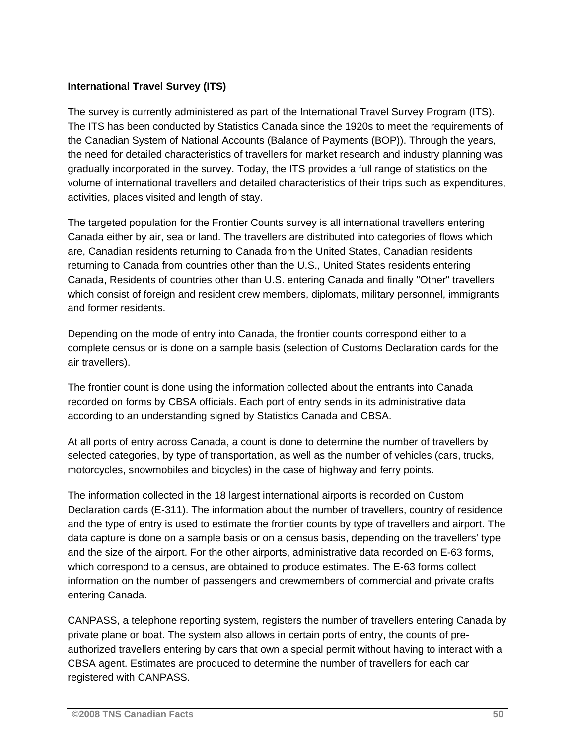### **International Travel Survey (ITS)**

The survey is currently administered as part of the International Travel Survey Program (ITS). The ITS has been conducted by Statistics Canada since the 1920s to meet the requirements of the Canadian System of National Accounts (Balance of Payments (BOP)). Through the years, the need for detailed characteristics of travellers for market research and industry planning was gradually incorporated in the survey. Today, the ITS provides a full range of statistics on the volume of international travellers and detailed characteristics of their trips such as expenditures, activities, places visited and length of stay.

The targeted population for the Frontier Counts survey is all international travellers entering Canada either by air, sea or land. The travellers are distributed into categories of flows which are, Canadian residents returning to Canada from the United States, Canadian residents returning to Canada from countries other than the U.S., United States residents entering Canada, Residents of countries other than U.S. entering Canada and finally "Other" travellers which consist of foreign and resident crew members, diplomats, military personnel, immigrants and former residents.

Depending on the mode of entry into Canada, the frontier counts correspond either to a complete census or is done on a sample basis (selection of Customs Declaration cards for the air travellers).

The frontier count is done using the information collected about the entrants into Canada recorded on forms by CBSA officials. Each port of entry sends in its administrative data according to an understanding signed by Statistics Canada and CBSA.

At all ports of entry across Canada, a count is done to determine the number of travellers by selected categories, by type of transportation, as well as the number of vehicles (cars, trucks, motorcycles, snowmobiles and bicycles) in the case of highway and ferry points.

The information collected in the 18 largest international airports is recorded on Custom Declaration cards (E-311). The information about the number of travellers, country of residence and the type of entry is used to estimate the frontier counts by type of travellers and airport. The data capture is done on a sample basis or on a census basis, depending on the travellers' type and the size of the airport. For the other airports, administrative data recorded on E-63 forms, which correspond to a census, are obtained to produce estimates. The E-63 forms collect information on the number of passengers and crewmembers of commercial and private crafts entering Canada.

CANPASS, a telephone reporting system, registers the number of travellers entering Canada by private plane or boat. The system also allows in certain ports of entry, the counts of preauthorized travellers entering by cars that own a special permit without having to interact with a CBSA agent. Estimates are produced to determine the number of travellers for each car registered with CANPASS.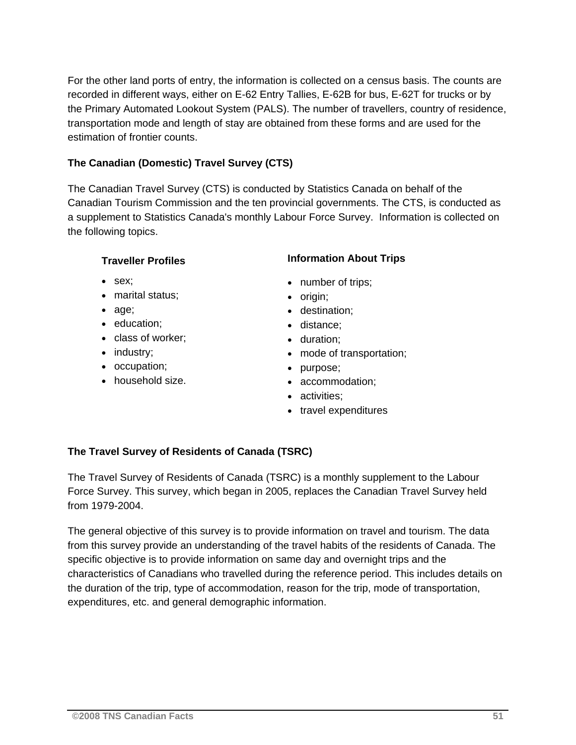For the other land ports of entry, the information is collected on a census basis. The counts are recorded in different ways, either on E-62 Entry Tallies, E-62B for bus, E-62T for trucks or by the Primary Automated Lookout System (PALS). The number of travellers, country of residence, transportation mode and length of stay are obtained from these forms and are used for the estimation of frontier counts.

### **The Canadian (Domestic) Travel Survey (CTS)**

The Canadian Travel Survey (CTS) is conducted by Statistics Canada on behalf of the Canadian Tourism Commission and the ten provincial governments. The CTS, is conducted as a supplement to Statistics Canada's monthly Labour Force Survey. Information is collected on the following topics.

### **Traveller Profiles**

- sex;
- marital status;
- age;
- education;
- class of worker;
- industry;
- occupation;
- household size.

### **Information About Trips**

- number of trips;
- origin;
- destination;
- distance;
- duration;
- mode of transportation;
- purpose;
- accommodation;
- activities:
- travel expenditures

### **The Travel Survey of Residents of Canada (TSRC)**

The Travel Survey of Residents of Canada (TSRC) is a monthly supplement to the Labour Force Survey. This survey, which began in 2005, replaces the Canadian Travel Survey held from 1979-2004.

The general objective of this survey is to provide information on travel and tourism. The data from this survey provide an understanding of the travel habits of the residents of Canada. The specific objective is to provide information on same day and overnight trips and the characteristics of Canadians who travelled during the reference period. This includes details on the duration of the trip, type of accommodation, reason for the trip, mode of transportation, expenditures, etc. and general demographic information.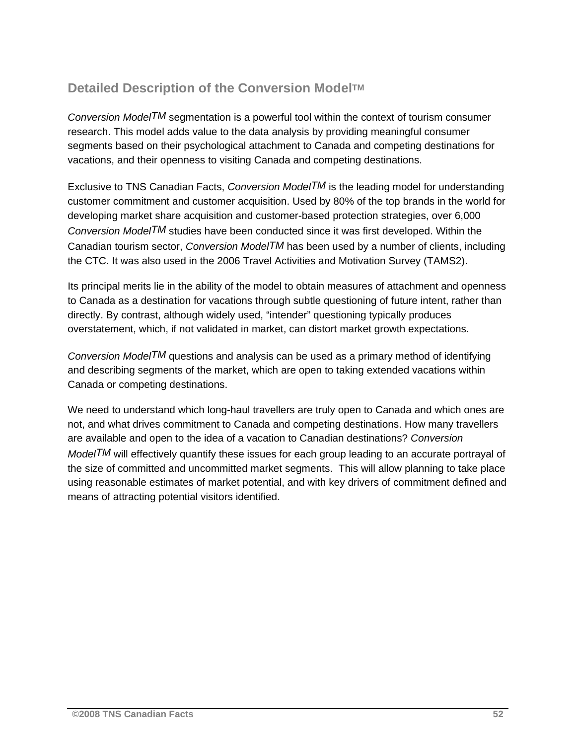### **Detailed Description of the Conversion ModelTM**

*Conversion ModelTM* segmentation is a powerful tool within the context of tourism consumer research. This model adds value to the data analysis by providing meaningful consumer segments based on their psychological attachment to Canada and competing destinations for vacations, and their openness to visiting Canada and competing destinations.

Exclusive to TNS Canadian Facts, *Conversion ModelTM* is the leading model for understanding customer commitment and customer acquisition. Used by 80% of the top brands in the world for developing market share acquisition and customer-based protection strategies, over 6,000 *Conversion ModelTM* studies have been conducted since it was first developed. Within the Canadian tourism sector, *Conversion ModelTM* has been used by a number of clients, including the CTC. It was also used in the 2006 Travel Activities and Motivation Survey (TAMS2).

Its principal merits lie in the ability of the model to obtain measures of attachment and openness to Canada as a destination for vacations through subtle questioning of future intent, rather than directly. By contrast, although widely used, "intender" questioning typically produces overstatement, which, if not validated in market, can distort market growth expectations.

*Conversion ModelTM* questions and analysis can be used as a primary method of identifying and describing segments of the market, which are open to taking extended vacations within Canada or competing destinations.

We need to understand which long-haul travellers are truly open to Canada and which ones are not, and what drives commitment to Canada and competing destinations. How many travellers are available and open to the idea of a vacation to Canadian destinations? *Conversion ModelTM* will effectively quantify these issues for each group leading to an accurate portrayal of the size of committed and uncommitted market segments. This will allow planning to take place using reasonable estimates of market potential, and with key drivers of commitment defined and means of attracting potential visitors identified.